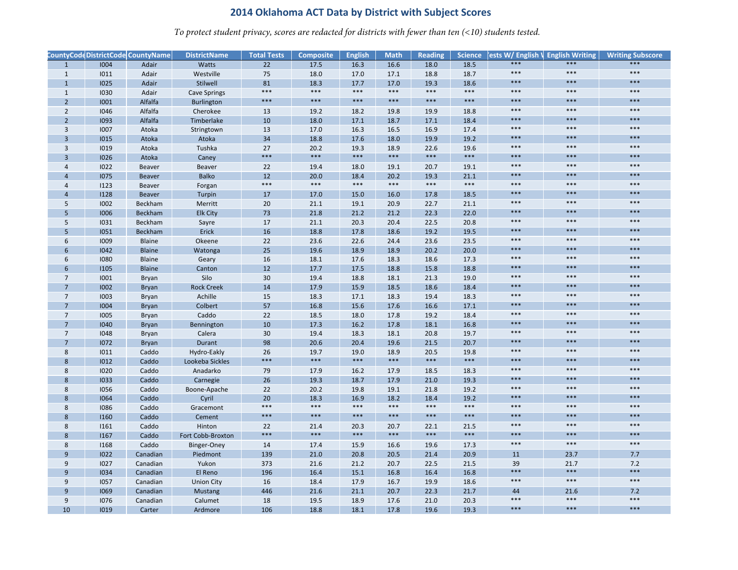*To protect student privacy, scores are redacted for districts with fewer than ten (<10) students tested.*

|                 |             | CountyCode DistrictCode CountyName | <b>DistrictName</b> | <b>Total Tests</b> | <b>Composite</b> | <b>English</b> | <b>Math</b> | <b>Reading</b> | <b>Science</b> | ests W/ English \ English Writing |       | <b>Writing Subscore</b> |
|-----------------|-------------|------------------------------------|---------------------|--------------------|------------------|----------------|-------------|----------------|----------------|-----------------------------------|-------|-------------------------|
| $\overline{1}$  | 1004        | Adair                              | <b>Watts</b>        | 22                 | 17.5             | 16.3           | 16.6        | 18.0           | 18.5           | $***$                             | $***$ | ***                     |
| $\mathbf{1}$    | 1011        | Adair                              | Westville           | 75                 | 18.0             | 17.0           | 17.1        | 18.8           | 18.7           | $***$                             | $***$ | ***                     |
| $\mathbf{1}$    | <b>IO25</b> | Adair                              | Stilwell            | 81                 | 18.3             | 17.7           | 17.0        | 19.3           | 18.6           | $***$                             | ***   | $***$                   |
| $\mathbf{1}$    | 1030        | Adair                              | <b>Cave Springs</b> | ***                | $***$            | $***$          | $***$       | $***$          | $***$          | $***$                             | ***   | ***                     |
| $\overline{2}$  | 1001        | Alfalfa                            | <b>Burlington</b>   | ***                | $***$            | ***            | ***         | ***            | ***            | $***$                             | ***   | ***                     |
| $\overline{2}$  | 1046        | Alfalfa                            | Cherokee            | 13                 | 19.2             | 18.2           | 19.8        | 19.9           | 18.8           | $***$                             | $***$ | $***$                   |
| $\overline{2}$  | 1093        | Alfalfa                            | Timberlake          | 10                 | 18.0             | 17.1           | 18.7        | 17.1           | 18.4           | $***$                             | ***   | $***$                   |
| $\overline{3}$  | 1007        | Atoka                              | Stringtown          | 13                 | 17.0             | 16.3           | 16.5        | 16.9           | 17.4           | $***$                             | ***   | $***$                   |
| $\overline{3}$  | 1015        | Atoka                              | Atoka               | 34                 | 18.8             | 17.6           | 18.0        | 19.9           | 19.2           | $***$                             | ***   | ***                     |
| $\overline{3}$  | 1019        | Atoka                              | Tushka              | 27                 | 20.2             | 19.3           | 18.9        | 22.6           | 19.6           | $***$                             | ***   | $***$                   |
| $\overline{3}$  | 1026        | Atoka                              | Caney               | ***                | ***              | ***            | ***         | ***            | ***            | $***$                             | ***   | ***                     |
| $\overline{4}$  | 1022        | Beaver                             | Beaver              | 22                 | 19.4             | 18.0           | 19.1        | 20.7           | 19.1           | $***$                             | $***$ | $***$                   |
| $\overline{4}$  | 1075        | Beaver                             | <b>Balko</b>        | 12                 | 20.0             | 18.4           | 20.2        | 19.3           | 21.1           | $***$                             | ***   | $***$                   |
| $\overline{4}$  | 1123        | Beaver                             | Forgan              | ***                | $***$            | $***$          | $***$       | $***$          | $***$          | $***$                             | $***$ | $***$                   |
| $\overline{4}$  | 1128        | Beaver                             | Turpin              | 17                 | 17.0             | 15.0           | 16.0        | 17.8           | 18.5           | $***$                             | ***   | ***                     |
| 5               | 1002        | Beckham                            | Merritt             | 20                 | 21.1             | 19.1           | 20.9        | 22.7           | 21.1           | $***$                             | $***$ | ***                     |
| 5               | 1006        | <b>Beckham</b>                     | <b>Elk City</b>     | 73                 | 21.8             | 21.2           | 21.2        | 22.3           | 22.0           | $***$                             | ***   | $***$                   |
| 5               | 1031        | Beckham                            | Sayre               | 17                 | 21.1             | 20.3           | 20.4        | 22.5           | 20.8           | $***$                             | $***$ | $***$                   |
| 5               | 1051        | Beckham                            | Erick               | 16                 | 18.8             | 17.8           | 18.6        | 19.2           | 19.5           | $***$                             | ***   | ***                     |
| 6               | 1009        | Blaine                             | Okeene              | 22                 | 23.6             | 22.6           | 24.4        | 23.6           | 23.5           | $***$                             | $***$ | $***$                   |
| 6               | 1042        | <b>Blaine</b>                      | Watonga             | 25                 | 19.6             | 18.9           | 18.9        | 20.2           | 20.0           | $***$                             | ***   | ***                     |
| 6               | 1080        | Blaine                             | Geary               | 16                 | 18.1             | 17.6           | 18.3        | 18.6           | 17.3           | $***$                             | $***$ | $***$                   |
| 6               | 1105        | <b>Blaine</b>                      | Canton              | 12                 | 17.7             | 17.5           | 18.8        | 15.8           | 18.8           | $***$                             | ***   | $***$                   |
| $\overline{7}$  | 1001        | Bryan                              | Silo                | 30                 | 19.4             | 18.8           | 18.1        | 21.3           | 19.0           | $***$                             | $***$ | $***$                   |
|                 | 1002        | <b>Bryan</b>                       | <b>Rock Creek</b>   | 14                 | 17.9             | 15.9           | 18.5        | 18.6           | 18.4           | $***$                             | ***   | ***                     |
| $\overline{7}$  | 1003        | Bryan                              | Achille             | 15                 | 18.3             | 17.1           | 18.3        | 19.4           | 18.3           | $***$                             | $***$ | $***$                   |
| $\overline{7}$  | 1004        | <b>Bryan</b>                       | Colbert             | 57                 | 16.8             | 15.6           | 17.6        | 16.6           | 17.1           | $***$                             | ***   | ***                     |
| $\overline{7}$  | 1005        | Bryan                              | Caddo               | 22                 | 18.5             | 18.0           | 17.8        | 19.2           | 18.4           | $***$                             | $***$ | $***$                   |
| $\overline{7}$  | 1040        | <b>Bryan</b>                       | Bennington          | 10                 | 17.3             | 16.2           | 17.8        | 18.1           | 16.8           | $***$                             | ***   | $***$                   |
| $7\overline{ }$ | 1048        | Bryan                              | Calera              | 30                 | 19.4             | 18.3           | 18.1        | 20.8           | 19.7           | $***$                             | $***$ | $***$                   |
| $\overline{7}$  | 1072        | Bryan                              | Durant              | 98                 | 20.6             | 20.4           | 19.6        | 21.5           | 20.7           | $***$                             | ***   | ***                     |
| 8               | 1011        | Caddo                              | Hydro-Eakly         | 26                 | 19.7             | 19.0           | 18.9        | 20.5           | 19.8           | $***$                             | $***$ | $***$                   |
| 8               | 1012        | Caddo                              | Lookeba Sickles     | ***                | $***$            | $***$          | $***$       | $***$          | ***            | $***$                             | ***   | ***                     |
| 8               | 1020        | Caddo                              | Anadarko            | 79                 | 17.9             | 16.2           | 17.9        | 18.5           | 18.3           | $***$                             | $***$ | $***$                   |
| 8               | 1033        | Caddo                              | Carnegie            | 26                 | 19.3             | 18.7           | 17.9        | 21.0           | 19.3           | $***$                             | ***   | $***$                   |
| 8               | 1056        | Caddo                              | Boone-Apache        | 22                 | 20.2             | 19.8           | 19.1        | 21.8           | 19.2           | $***$                             | $***$ | $***$                   |
| 8               | 1064        | Caddo                              | Cyril               | 20                 | 18.3             | 16.9           | 18.2        | 18.4           | 19.2           | $***$                             | ***   | ***                     |
| 8               | 1086        | Caddo                              | Gracemont           | ***                | $***$            | $***$          | $***$       | $***$          | $***$          | $***$                             | $***$ | $***$                   |
| 8               | 1160        | Caddo                              | Cement              | ***                | $***$            | $***$          | $***$       | $***$          | ***            | $***$                             | ***   | $***$                   |
| 8               | 1161        | Caddo                              | Hinton              | 22                 | 21.4             | 20.3           | 20.7        | 22.1           | 21.5           | $***$                             | $***$ | $***$                   |
| 8               | 1167        | Caddo                              | Fort Cobb-Broxton   | ***                | $***$            | $***$          | $***$       | $***$          | ***            | $***$                             | $***$ | ***                     |
| 8               | 1168        | Caddo                              | Binger-Oney         | 14                 | 17.4             | 15.9           | 16.6        | 19.6           | 17.3           | $***$                             | $***$ | $***$                   |
| 9               | 1022        | Canadian                           | Piedmont            | 139                | 21.0             | 20.8           | 20.5        | 21.4           | 20.9           | 11                                | 23.7  | 7.7                     |
| 9               | 1027        | Canadian                           | Yukon               | 373                | 21.6             | 21.2           | 20.7        | 22.5           | 21.5           | 39                                | 21.7  | 7.2                     |
| 9               | 1034        | Canadian                           | El Reno             | 196                | 16.4             | 15.1           | 16.8        | 16.4           | 16.8           | $***$                             | $***$ | ***                     |
| 9               | 1057        | Canadian                           | <b>Union City</b>   | 16                 | 18.4             | 17.9           | 16.7        | 19.9           | 18.6           | $***$                             | $***$ | $***$                   |
| 9               | <b>I069</b> | Canadian                           | <b>Mustang</b>      | 446                | 21.6             | 21.1           | 20.7        | 22.3           | 21.7           | 44                                | 21.6  | 7.2                     |
| 9               | 1076        | Canadian                           | Calumet             | 18                 | 19.5             | 18.9           | 17.6        | 21.0           | 20.3           | $***$                             | $***$ | $***$                   |
| 10              | 1019        | Carter                             | Ardmore             | 106                | 18.8             | 18.1           | 17.8        | 19.6           | 19.3           | ***                               | ***   | ***                     |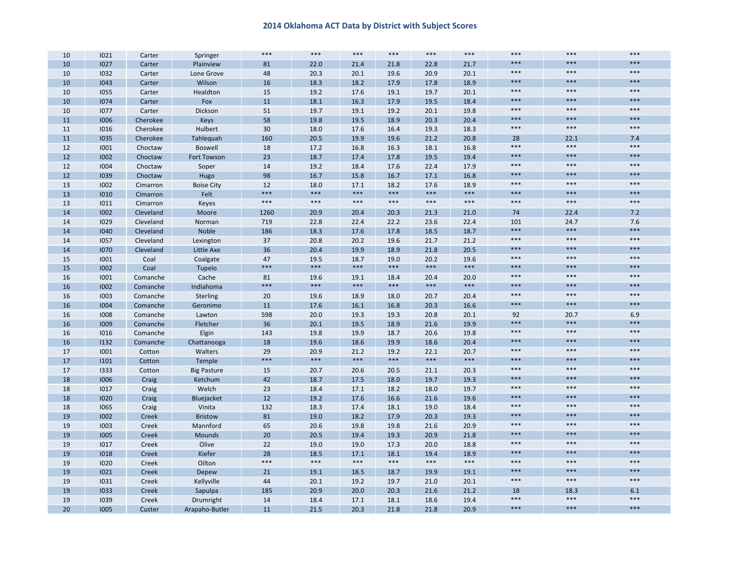| 10 | 1021 | Carter       | Springer           | ***   | $***$ | $***$ | ***   | ***   | $***$ | $***$ | ***   | $***$          |
|----|------|--------------|--------------------|-------|-------|-------|-------|-------|-------|-------|-------|----------------|
| 10 | 1027 | Carter       | Plainview          | 81    | 22.0  | 21.4  | 21.8  | 22.8  | 21.7  | $***$ | ***   | $***$          |
| 10 | 1032 | Carter       | Lone Grove         | 48    | 20.3  | 20.1  | 19.6  | 20.9  | 20.1  | $***$ | $***$ | $***$          |
| 10 | 1043 | Carter       | Wilson             | 16    | 18.3  | 18.2  | 17.9  | 17.8  | 18.9  | $***$ | ***   | $***$          |
| 10 | 1055 | Carter       | Healdton           | 15    | 19.2  | 17.6  | 19.1  | 19.7  | 20.1  | $***$ | $***$ | $***$          |
| 10 | 1074 | Carter       | Fox                | 11    | 18.1  | 16.3  | 17.9  | 19.5  | 18.4  | $***$ | ***   | ***            |
| 10 | 1077 | Carter       | Dickson            | 51    | 19.7  | 19.1  | 19.2  | 20.1  | 19.8  | $***$ | $***$ | $***$          |
| 11 | 1006 | Cherokee     | <b>Keys</b>        | 58    | 19.8  | 19.5  | 18.9  | 20.3  | 20.4  | $***$ | ***   | $***$          |
| 11 | 1016 | Cherokee     | Hulbert            | 30    | 18.0  | 17.6  | 16.4  | 19.3  | 18.3  | $***$ | $***$ | $***$          |
| 11 | 1035 | Cherokee     | Tahleguah          | 160   | 20.5  | 19.9  | 19.6  | 21.2  | 20.8  | 28    | 22.1  | 7.4            |
| 12 | 1001 | Choctaw      | <b>Boswell</b>     | 18    | 17.2  | 16.8  | 16.3  | 18.1  | 16.8  | $***$ | $***$ | $***$          |
| 12 | 1002 | Choctaw      | Fort Towson        | 23    | 18.7  | 17.4  | 17.8  | 19.5  | 19.4  | $***$ | ***   | $***$          |
| 12 | 1004 | Choctaw      | Soper              | 14    | 19.2  | 18.4  | 17.6  | 22.4  | 17.9  | $***$ | $***$ | $***$          |
| 12 | 1039 | Choctaw      | Hugo               | 98    | 16.7  | 15.8  | 16.7  | 17.1  | 16.8  | $***$ | ***   | ***            |
| 13 | 1002 | Cimarron     | <b>Boise City</b>  | 12    | 18.0  | 17.1  | 18.2  | 17.6  | 18.9  | $***$ | $***$ | $***$          |
| 13 | 1010 | Cimarron     | Felt               | ***   | $***$ | $***$ | $***$ | $***$ | ***   | $***$ | ***   | ***            |
| 13 | 1011 | Cimarron     | Keyes              | $***$ | $***$ | $***$ | $***$ | $***$ | $***$ | $***$ | $***$ | $***$          |
| 14 | 1002 | Cleveland    | Moore              | 1260  | 20.9  | 20.4  | 20.3  | 21.3  | 21.0  | 74    | 22.4  | 7.2            |
| 14 | 1029 | Cleveland    | Norman             | 719   | 22.8  | 22.4  | 22.2  | 23.6  | 22.4  | 101   | 24.7  | 7.6            |
| 14 | 1040 | Cleveland    | Noble              | 186   | 18.3  | 17.6  | 17.8  | 18.5  | 18.7  | $***$ | ***   | $***$          |
| 14 | 1057 | Cleveland    | Lexington          | 37    | 20.8  | 20.2  | 19.6  | 21.7  | 21.2  | $***$ | $***$ | $***$          |
| 14 | 1070 | Cleveland    | Little Axe         | 36    | 20.4  | 19.9  | 18.9  | 21.8  | 20.5  | $***$ | ***   | ***            |
| 15 | 1001 | Coal         | Coalgate           | 47    | 19.5  | 18.7  | 19.0  | 20.2  | 19.6  | $***$ | $***$ | $***$          |
| 15 | 1002 | Coal         | Tupelo             | ***   | $***$ | $***$ | $***$ | $***$ | ***   | $***$ | ***   | ***            |
| 16 | 1001 | Comanche     | Cache              | 81    | 19.6  | 19.1  | 18.4  | 20.4  | 20.0  | $***$ | $***$ | $***$          |
| 16 | 1002 | Comanche     | Indiahoma          | ***   | $***$ | $***$ | $***$ | $***$ | ***   | $***$ | ***   | $***$          |
| 16 | 1003 | Comanche     | Sterling           | 20    | 19.6  | 18.9  | 18.0  | 20.7  | 20.4  | $***$ | $***$ | $***$          |
| 16 | 1004 | Comanche     | Geronimo           | 11    | 17.6  | 16.1  | 16.8  | 20.3  | 16.6  | $***$ | ***   | $***$          |
| 16 | 1008 | Comanche     | Lawton             | 598   | 20.0  | 19.3  | 19.3  | 20.8  | 20.1  | 92    | 20.7  | 6.9            |
| 16 | 1009 | Comanche     | Fletcher           | 36    | 20.1  | 19.5  | 18.9  | 21.6  | 19.9  | $***$ | ***   | $***$          |
| 16 | 1016 | Comanche     | Elgin              | 143   | 19.8  | 19.9  | 18.7  | 20.6  | 19.8  | $***$ | $***$ | $***$          |
| 16 | 1132 | Comanche     | Chattanooga        | 18    | 19.6  | 18.6  | 19.9  | 18.6  | 20.4  | $***$ | ***   | $***$          |
| 17 | 1001 | Cotton       | Walters            | 29    | 20.9  | 21.2  | 19.2  | 22.1  | 20.7  | $***$ | $***$ | $***$          |
| 17 | 1101 | Cotton       | Temple             | ***   | $***$ | $***$ | $***$ | $***$ | ***   | $***$ | ***   | ***            |
| 17 | 1333 | Cotton       | <b>Big Pasture</b> | 15    | 20.7  | 20.6  | 20.5  | 21.1  | 20.3  | $***$ | $***$ | $***$          |
| 18 | 1006 | Craig        | Ketchum            | 42    | 18.7  | 17.5  | 18.0  | 19.7  | 19.3  | $***$ | $***$ | $***$          |
| 18 | 1017 | Craig        | Welch              | 23    | 18.4  | 17.1  | 18.2  | 18.0  | 19.7  | $***$ | $***$ | $***$          |
| 18 | 1020 | Craig        | Bluejacket         | 12    | 19.2  | 17.6  | 16.6  | 21.6  | 19.6  | $***$ | ***   | $***$          |
| 18 | 1065 | Craig        | Vinita             | 132   | 18.3  | 17.4  | 18.1  | 19.0  | 18.4  | $***$ | $***$ | $***$          |
| 19 | 1002 | Creek        | <b>Bristow</b>     | 81    | 19.0  | 18.2  | 17.9  | 20.3  | 19.3  | $***$ | ***   | ***            |
| 19 | 1003 | Creek        | Mannford           | 65    | 20.6  | 19.8  | 19.8  | 21.6  | 20.9  | $***$ | $***$ | $***$          |
| 19 | 1005 | <b>Creek</b> | <b>Mounds</b>      | 20    | 20.5  | 19.4  | 19.3  | 20.9  | 21.8  | $***$ | ***   | ***            |
| 19 | 1017 | Creek        | Olive              | 22    | 19.0  | 19.0  | 17.3  | 20.0  | 18.8  | $***$ | $***$ | $***$          |
| 19 | 1018 | Creek        | Kiefer             | 28    | 18.5  | 17.1  | 18.1  | 19.4  | 18.9  | $***$ | ***   | $***$          |
| 19 | 1020 | Creek        | Oilton             | ***   | $***$ | $***$ | $***$ | $***$ | $***$ | $***$ | ***   | $***$          |
| 19 | 1021 | Creek        | Depew              | 21    | 19.1  | 18.5  | 18.7  | 19.9  | 19.1  | $***$ | ***   | $***$          |
| 19 | 1031 | Creek        | Kellyville         | 44    | 20.1  | 19.2  | 19.7  | 21.0  | 20.1  | $***$ | $***$ | $***$          |
| 19 | 1033 | Creek        | Sapulpa            | 185   | 20.9  | 20.0  | 20.3  | 21.6  | 21.2  | 18    | 18.3  | 6.1            |
| 19 | 1039 | Creek        | Drumright          | 14    | 18.4  | 17.1  | 18.1  | 18.6  | 19.4  | $***$ | $***$ | $***$<br>$***$ |
| 20 | 1005 | Custer       | Arapaho-Butler     | 11    | 21.5  | 20.3  | 21.8  | 21.8  | 20.9  | ***   | ***   |                |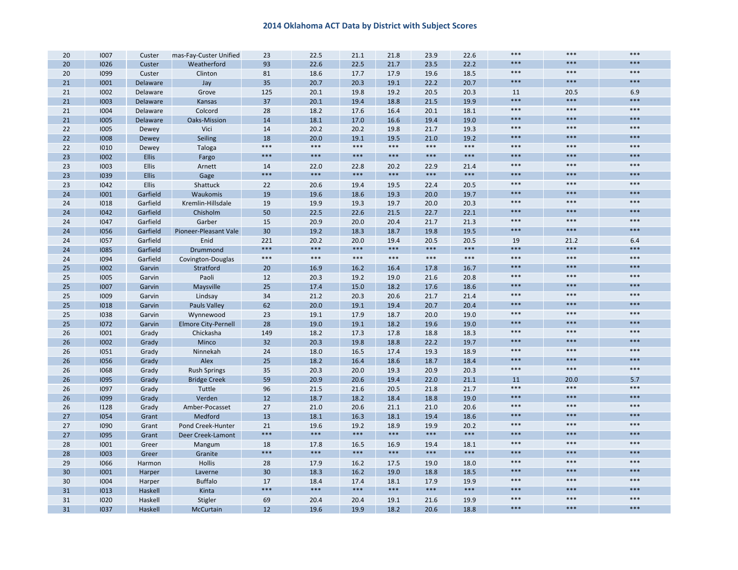| 20       | 1007 | Custer       | mas-Fay-Custer Unified                  | 23       | 22.5  | 21.1          | 21.8          | 23.9  | 22.6          | $***$       | $***$         | $***$        |
|----------|------|--------------|-----------------------------------------|----------|-------|---------------|---------------|-------|---------------|-------------|---------------|--------------|
| 20       | 1026 | Custer       | Weatherford                             | 93       | 22.6  | 22.5          | 21.7          | 23.5  | 22.2          | $***$       | ***           | $***$        |
| 20       | 1099 | Custer       | Clinton                                 | 81       | 18.6  | 17.7          | 17.9          | 19.6  | 18.5          | $***$       | $***$         | $***$        |
| 21       | 1001 | Delaware     | Jay                                     | 35       | 20.7  | 20.3          | 19.1          | 22.2  | 20.7          | $***$       | ***           | $***$        |
| 21       | 1002 | Delaware     | Grove                                   | 125      | 20.1  | 19.8          | 19.2          | 20.5  | 20.3          | 11          | 20.5          | 6.9          |
| 21       | 1003 | Delaware     | Kansas                                  | 37       | 20.1  | 19.4          | 18.8          | 21.5  | 19.9          | $***$       | ***           | $***$        |
| 21       | 1004 | Delaware     | Colcord                                 | 28       | 18.2  | 17.6          | 16.4          | 20.1  | 18.1          | $***$       | $***$         | $***$        |
| 21       | 1005 | Delaware     | Oaks-Mission                            | 14       | 18.1  | 17.0          | 16.6          | 19.4  | 19.0          | $***$       | ***           | $***$        |
| 22       | 1005 | Dewey        | Vici                                    | 14       | 20.2  | 20.2          | 19.8          | 21.7  | 19.3          | $***$       | $***$         | $***$        |
| 22       | 1008 | Dewey        | Seiling                                 | 18       | 20.0  | 19.1          | 19.5          | 21.0  | 19.2          | $***$       | ***           | ***          |
| 22       | 1010 | Dewey        | Taloga                                  | $***$    | $***$ | $***$         | $***$         | $***$ | $***$         | $***$       | ***           | $***$        |
| 23       | 1002 | <b>Ellis</b> | Fargo                                   | $***$    | $***$ | $***$         | $***$         | $***$ | ***           | $***$       | ***           | $***$        |
| 23       | 1003 | <b>Ellis</b> | Arnett                                  | 14       | 22.0  | 22.8          | 20.2          | 22.9  | 21.4          | $***$       | $***$         | $***$        |
| 23       | 1039 | Ellis        | Gage                                    | ***      | $***$ | $***$         | $***$         | $***$ | $***$         | $***$       | ***           | $***$        |
| 23       | 1042 | Ellis        | Shattuck                                | 22       | 20.6  | 19.4          | 19.5          | 22.4  | 20.5          | $***$       | $***$         | $***$        |
| 24       | 1001 | Garfield     | Waukomis                                | 19       | 19.6  | 18.6          | 19.3          | 20.0  | 19.7          | $***$       | ***           | $***$        |
| 24       | 1018 | Garfield     | Kremlin-Hillsdale                       | 19       | 19.9  | 19.3          | 19.7          | 20.0  | 20.3          | $***$       | $***$         | $***$        |
| 24       | 1042 | Garfield     | Chisholm                                | 50       | 22.5  | 22.6          | 21.5          | 22.7  | 22.1          | $***$       | ***           | $***$        |
| 24       | 1047 | Garfield     | Garber                                  | 15       | 20.9  | 20.0          | 20.4          | 21.7  | 21.3          | $***$       | $***$         | $***$        |
| 24       | 1056 | Garfield     | Pioneer-Pleasant Vale                   | 30       | 19.2  | 18.3          | 18.7          | 19.8  | 19.5          | $***$       | ***           | $***$        |
| 24       | 1057 | Garfield     | Enid                                    | 221      | 20.2  | 20.0          | 19.4          | 20.5  | 20.5          | 19          | 21.2          | 6.4          |
| 24       | 1085 | Garfield     | Drummond                                | $***$    | $***$ | $***$         | $***$         | $***$ | $***$         | $***$       | ***           | $***$        |
| 24       | 1094 | Garfield     | Covington-Douglas                       | $***$    | $***$ | $***$         | $***$         | $***$ | $***$         | $***$       | $***$         | $***$        |
| 25       | 1002 | Garvin       | Stratford                               | 20       | 16.9  | 16.2          | 16.4          | 17.8  | 16.7          | $***$       | ***           | $***$        |
| 25       | 1005 | Garvin       | Paoli                                   | 12       | 20.3  | 19.2          | 19.0          | 21.6  | 20.8          | $***$       | ***           | $***$        |
| 25       | 1007 | Garvin       | Maysville                               | 25       | 17.4  | 15.0          | 18.2          | 17.6  | 18.6          | $***$       | ***           | $***$        |
| 25       | 1009 | Garvin       | Lindsay                                 | 34       | 21.2  | 20.3          | 20.6          | 21.7  | 21.4          | $***$       | ***           | $***$        |
| 25       | 1018 | Garvin       | <b>Pauls Valley</b>                     | 62       | 20.0  | 19.1          | 19.4          | 20.7  | 20.4          | $***$       | ***           | $***$        |
| 25       | 1038 | Garvin       | Wynnewood                               | 23       | 19.1  | 17.9          | 18.7          | 20.0  | 19.0          | $***$       | ***           | $***$        |
| 25       | 1072 | Garvin       |                                         |          | 19.0  | 19.1          | 18.2          | 19.6  | 19.0          | $***$       | ***           | $***$        |
|          | 1001 |              | <b>Elmore City-Pernell</b><br>Chickasha | 28       | 18.2  | 17.3          | 17.8          | 18.8  | 18.3          | $***$       | $***$         | $***$        |
| 26       |      | Grady        |                                         | 149      |       |               |               |       |               | $***$       | ***           | $***$        |
| 26       | 1002 | Grady        | Minco                                   | 32<br>24 | 20.3  | 19.8          | 18.8          | 22.2  | 19.7<br>18.9  | $***$       | ***           | $***$        |
| 26<br>26 | 1051 | Grady        | Ninnekah                                | 25       | 18.0  | 16.5<br>16.4  | 17.4          | 19.3  |               | $***$       | ***           | $***$        |
|          | 1056 | Grady        | Alex                                    |          | 18.2  |               | 18.6          | 18.7  | 18.4          | $***$       | $***$         | $***$        |
| 26       | 1068 | Grady        | <b>Rush Springs</b>                     | 35       | 20.3  | 20.0          | 19.3          | 20.9  | 20.3          |             |               |              |
| 26       | 1095 | Grady        | <b>Bridge Creek</b>                     | 59       | 20.9  | 20.6          | 19.4          | 22.0  | 21.1          | 11<br>$***$ | 20.0<br>$***$ | 5.7<br>$***$ |
| 26       | 1097 | Grady        | Tuttle                                  | 96       | 21.5  | 21.6          | 20.5          | 21.8  | 21.7          | $***$       | ***           | ***          |
| 26       | 1099 | Grady        | Verden                                  | 12       | 18.7  | 18.2          | 18.4          | 18.8  | 19.0          | $***$       | ***           | $***$        |
| 26       | 1128 | Grady        | Amber-Pocasset                          | 27       | 21.0  | 20.6          | 21.1          | 21.0  | 20.6          | $***$       | ***           | $***$        |
| 27       | 1054 | Grant        | Medford                                 | 13       | 18.1  | 16.3          | 18.1          | 19.4  | 18.6          | $***$       | ***           | $***$        |
| 27       | 1090 | Grant        | Pond Creek-Hunter                       | 21       | 19.6  | 19.2<br>$***$ | 18.9<br>$***$ | 19.9  | 20.2<br>$***$ | $***$       | ***           | $***$        |
| 27       | 1095 | Grant        | Deer Creek-Lamont                       | ***      | $***$ |               |               | $***$ |               |             |               |              |
| 28       | 1001 | Greer        | Mangum                                  | 18       | 17.8  | 16.5          | 16.9          | 19.4  | 18.1          | $***$       | ***           | $***$        |
| 28       | 1003 | Greer        | Granite                                 | ***      | $***$ | $***$         | $***$         | $***$ | $***$         | $***$       | ***           | $***$        |
| 29       | 1066 | Harmon       | <b>Hollis</b>                           | 28       | 17.9  | 16.2          | 17.5          | 19.0  | 18.0          | $***$       | ***           | $***$        |
| 30       | 1001 | Harper       | Laverne                                 | 30       | 18.3  | 16.2          | 19.0          | 18.8  | 18.5          | $***$       | ***           | $***$        |
| 30       | 1004 | Harper       | <b>Buffalo</b>                          | 17       | 18.4  | 17.4          | 18.1          | 17.9  | 19.9          | $***$       | $***$         | $***$        |
| 31       | 1013 | Haskell      | Kinta                                   | ***      | $***$ | $***$         | $***$         | $***$ | $***$         | $***$       | ***           | $***$        |
| 31       | 1020 | Haskell      | Stigler                                 | 69       | 20.4  | 20.4          | 19.1          | 21.6  | 19.9          | $***$       | ***           | $***$        |
| 31       | 1037 | Haskell      | McCurtain                               | 12       | 19.6  | 19.9          | 18.2          | 20.6  | 18.8          | ***         | ***           | $***$        |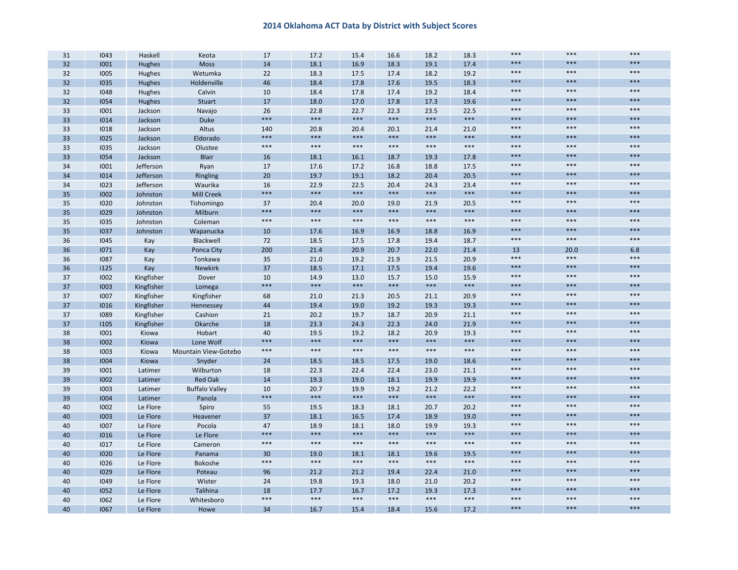| 31 | 1043 | Haskell       | Keota                 | 17    | 17.2  | 15.4  | 16.6  | 18.2  | 18.3  | ***   | $***$ | $***$ |
|----|------|---------------|-----------------------|-------|-------|-------|-------|-------|-------|-------|-------|-------|
| 32 | 1001 | <b>Hughes</b> | <b>Moss</b>           | 14    | 18.1  | 16.9  | 18.3  | 19.1  | 17.4  | ***   | $***$ | ***   |
| 32 | 1005 | Hughes        | Wetumka               | 22    | 18.3  | 17.5  | 17.4  | 18.2  | 19.2  | $***$ | $***$ | $***$ |
| 32 | 1035 | <b>Hughes</b> | Holdenville           | 46    | 18.4  | 17.8  | 17.6  | 19.5  | 18.3  | $***$ | $***$ | ***   |
| 32 | 1048 | Hughes        | Calvin                | 10    | 18.4  | 17.8  | 17.4  | 19.2  | 18.4  | $***$ | $***$ | $***$ |
| 32 | 1054 | Hughes        | Stuart                | 17    | 18.0  | 17.0  | 17.8  | 17.3  | 19.6  | ***   | $***$ | ***   |
| 33 | 1001 | Jackson       | Navajo                | 26    | 22.8  | 22.7  | 22.3  | 23.5  | 22.5  | $***$ | $***$ | $***$ |
| 33 | 1014 | Jackson       | <b>Duke</b>           | ***   | $***$ | $***$ | $***$ | $***$ | $***$ | ***   | $***$ | ***   |
| 33 | 1018 | Jackson       | Altus                 | 140   | 20.8  | 20.4  | 20.1  | 21.4  | 21.0  | $***$ | $***$ | $***$ |
| 33 | 1025 | Jackson       | Eldorado              | ***   | $***$ | ***   | $***$ | $***$ | $***$ | ***   | $***$ | ***   |
| 33 | 1035 | Jackson       | Olustee               | $***$ | $***$ | $***$ | $***$ | $***$ | $***$ | $***$ | $***$ | $***$ |
| 33 | 1054 | Jackson       | <b>Blair</b>          | 16    | 18.1  | 16.1  | 18.7  | 19.3  | 17.8  | ***   | $***$ | ***   |
| 34 | 1001 | Jefferson     | Ryan                  | 17    | 17.6  | 17.2  | 16.8  | 18.8  | 17.5  | $***$ | $***$ | $***$ |
| 34 | 1014 | Jefferson     | Ringling              | 20    | 19.7  | 19.1  | 18.2  | 20.4  | 20.5  | $***$ | $***$ | $***$ |
| 34 | 1023 | Jefferson     | Waurika               | 16    | 22.9  | 22.5  | 20.4  | 24.3  | 23.4  | $***$ | $***$ | $***$ |
| 35 | 1002 | Johnston      | <b>Mill Creek</b>     | ***   | $***$ | $***$ | $***$ | ***   | $***$ | $***$ | $***$ | ***   |
| 35 | 1020 | Johnston      | Tishomingo            | 37    | 20.4  | 20.0  | 19.0  | 21.9  | 20.5  | $***$ | $***$ | $***$ |
| 35 | 1029 | Johnston      | Milburn               | ***   | $***$ | $***$ | $***$ | $***$ | ***   | ***   | $***$ | ***   |
| 35 | 1035 | Johnston      | Coleman               | $***$ | $***$ | $***$ | $***$ | $***$ | $***$ | $***$ | $***$ | $***$ |
| 35 | 1037 | Johnston      | Wapanucka             | 10    | 17.6  | 16.9  | 16.9  | 18.8  | 16.9  | ***   | $***$ | ***   |
| 36 | 1045 | Kay           | Blackwell             | 72    | 18.5  | 17.5  | 17.8  | 19.4  | 18.7  | $***$ | $***$ | $***$ |
| 36 | 1071 | Kay           | Ponca City            | 200   | 21.4  | 20.9  | 20.7  | 22.0  | 21.4  | 13    | 20.0  | 6.8   |
| 36 | 1087 | Kay           | Tonkawa               | 35    | 21.0  | 19.2  | 21.9  | 21.5  | 20.9  | $***$ | $***$ | $***$ |
| 36 | i125 | Kay           | <b>Newkirk</b>        | 37    | 18.5  | 17.1  | 17.5  | 19.4  | 19.6  | ***   | $***$ | ***   |
| 37 | 1002 | Kingfisher    | Dover                 | 10    | 14.9  | 13.0  | 15.7  | 15.0  | 15.9  | $***$ | $***$ | $***$ |
| 37 | 1003 | Kingfisher    | Lomega                | ***   | $***$ | $***$ | $***$ | $***$ | $***$ | ***   | $***$ | $***$ |
| 37 | 1007 | Kingfisher    | Kingfisher            | 68    | 21.0  | 21.3  | 20.5  | 21.1  | 20.9  | $***$ | $***$ | $***$ |
| 37 | 1016 | Kingfisher    | Hennessey             | 44    | 19.4  | 19.0  | 19.2  | 19.3  | 19.3  | ***   | $***$ | ***   |
| 37 | 1089 | Kingfisher    | Cashion               | 21    | 20.2  | 19.7  | 18.7  | 20.9  | 21.1  | $***$ | $***$ | ***   |
| 37 | 1105 | Kingfisher    | Okarche               | 18    | 23.3  | 24.3  | 22.3  | 24.0  | 21.9  | ***   | $***$ | $***$ |
| 38 | 1001 | Kiowa         | Hobart                | 40    | 19.5  | 19.2  | 18.2  | 20.9  | 19.3  | $***$ | $***$ | $***$ |
| 38 | 1002 | Kiowa         | Lone Wolf             | ***   | $***$ | ***   | $***$ | $***$ | ***   | ***   | $***$ | ***   |
| 38 | 1003 | Kiowa         | Mountain View-Gotebo  | $***$ | $***$ | $***$ | $***$ | $***$ | $***$ | $***$ | $***$ | $***$ |
| 38 | 1004 | Kiowa         | Snyder                | 24    | 18.5  | 18.5  | 17.5  | 19.0  | 18.6  | ***   | $***$ | ***   |
| 39 | 1001 | Latimer       | Wilburton             | 18    | 22.3  | 22.4  | 22.4  | 23.0  | 21.1  | $***$ | $***$ | $***$ |
| 39 | 1002 | Latimer       | <b>Red Oak</b>        | 14    | 19.3  | 19.0  | 18.1  | 19.9  | 19.9  | ***   | $***$ | ***   |
| 39 | 1003 | Latimer       | <b>Buffalo Valley</b> | 10    | 20.7  | 19.9  | 19.2  | 21.2  | 22.2  | $***$ | $***$ | $***$ |
| 39 | 1004 | Latimer       | Panola                | ***   | $***$ | $***$ | $***$ | ***   | $***$ | ***   | $***$ | ***   |
| 40 | 1002 | Le Flore      | Spiro                 | 55    | 19.5  | 18.3  | 18.1  | 20.7  | 20.2  | $***$ | $***$ | $***$ |
| 40 | 1003 | Le Flore      | Heavener              | 37    | 18.1  | 16.5  | 17.4  | 18.9  | 19.0  | ***   | $***$ | $***$ |
| 40 | 1007 | Le Flore      | Pocola                | 47    | 18.9  | 18.1  | 18.0  | 19.9  | 19.3  | ***   | $***$ | ***   |
| 40 | 1016 | Le Flore      | Le Flore              | ***   | $***$ | $***$ | $***$ | $***$ | ***   | $***$ | $***$ | $***$ |
| 40 | 1017 | Le Flore      | Cameron               | $***$ | $***$ | $***$ | $***$ | $***$ | $***$ | ***   | $***$ | ***   |
| 40 | 1020 | Le Flore      | Panama                | 30    | 19.0  | 18.1  | 18.1  | 19.6  | 19.5  | ***   | $***$ | ***   |
| 40 | 1026 | Le Flore      | Bokoshe               | ***   | $***$ | $***$ | $***$ | $***$ | $***$ | ***   | $***$ | $***$ |
| 40 | 1029 | Le Flore      | Poteau                | 96    | 21.2  | 21.2  | 19.4  | 22.4  | 21.0  | ***   | $***$ | ***   |
| 40 | 1049 | Le Flore      | Wister                | 24    | 19.8  | 19.3  | 18.0  | 21.0  | 20.2  | $***$ | $***$ | $***$ |
| 40 | 1052 | Le Flore      | Talihina              | 18    | 17.7  | 16.7  | 17.2  | 19.3  | 17.3  | ***   | ***   | ***   |
| 40 | 1062 | Le Flore      | Whitesboro            | $***$ | $***$ | $***$ | $***$ | $***$ | $***$ | ***   | $***$ | ***   |
| 40 | 1067 | Le Flore      | Howe                  | 34    | 16.7  | 15.4  | 18.4  | 15.6  | 17.2  | ***   | $***$ | ***   |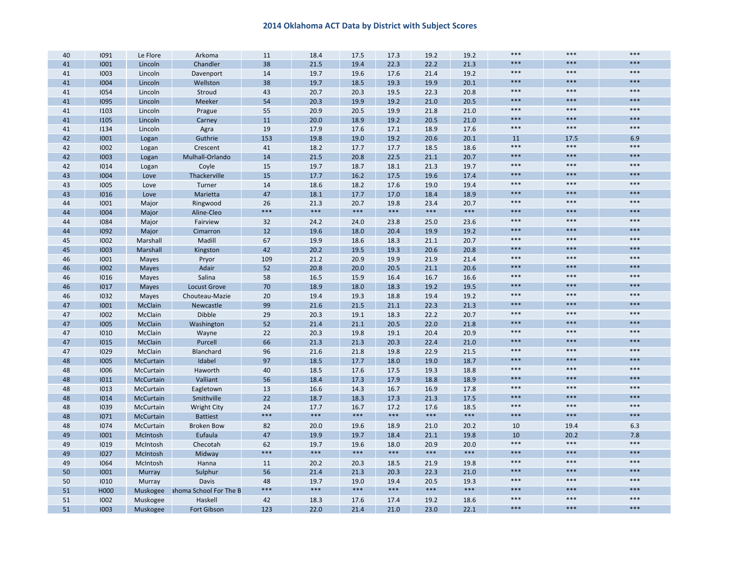| 40 | 1091        | Le Flore         | Arkoma                 | 11    | 18.4  | 17.5  | 17.3  | 19.2  | 19.2 | $***$ | $***$ | $***$ |
|----|-------------|------------------|------------------------|-------|-------|-------|-------|-------|------|-------|-------|-------|
| 41 | 1001        | Lincoln          | Chandler               | 38    | 21.5  | 19.4  | 22.3  | 22.2  | 21.3 | $***$ | $***$ | $***$ |
| 41 | 1003        | Lincoln          | Davenport              | 14    | 19.7  | 19.6  | 17.6  | 21.4  | 19.2 | $***$ | ***   | $***$ |
| 41 | 1004        | Lincoln          | Wellston               | 38    | 19.7  | 18.5  | 19.3  | 19.9  | 20.1 | ***   | $***$ | $***$ |
| 41 | 1054        | Lincoln          | Stroud                 | 43    | 20.7  | 20.3  | 19.5  | 22.3  | 20.8 | $***$ | $***$ | $***$ |
| 41 | 1095        | Lincoln          | Meeker                 | 54    | 20.3  | 19.9  | 19.2  | 21.0  | 20.5 | ***   | ***   | $***$ |
| 41 | 1103        | Lincoln          | Prague                 | 55    | 20.9  | 20.5  | 19.9  | 21.8  | 21.0 | $***$ | $***$ | $***$ |
| 41 | 1105        | Lincoln          | Carney                 | 11    | 20.0  | 18.9  | 19.2  | 20.5  | 21.0 | ***   | $***$ | $***$ |
| 41 | 1134        | Lincoln          | Agra                   | 19    | 17.9  | 17.6  | 17.1  | 18.9  | 17.6 | ***   | $***$ | $***$ |
| 42 | 1001        | Logan            | Guthrie                | 153   | 19.8  | 19.0  | 19.2  | 20.6  | 20.1 | 11    | 17.5  | 6.9   |
| 42 | 1002        | Logan            | Crescent               | 41    | 18.2  | 17.7  | 17.7  | 18.5  | 18.6 | $***$ | $***$ | $***$ |
| 42 | 1003        | Logan            | Mulhall-Orlando        | 14    | 21.5  | 20.8  | 22.5  | 21.1  | 20.7 | ***   | ***   | $***$ |
| 42 | 1014        | Logan            | Coyle                  | 15    | 19.7  | 18.7  | 18.1  | 21.3  | 19.7 | $***$ | $***$ | $***$ |
| 43 | 1004        | Love             | Thackerville           | 15    | 17.7  | 16.2  | 17.5  | 19.6  | 17.4 | $***$ | $***$ | $***$ |
| 43 | 1005        | Love             | Turner                 | 14    | 18.6  | 18.2  | 17.6  | 19.0  | 19.4 | $***$ | $***$ | $***$ |
| 43 | 1016        | Love             | Marietta               | 47    | 18.1  | 17.7  | 17.0  | 18.4  | 18.9 | ***   | $***$ | $***$ |
| 44 | 1001        | Major            | Ringwood               | 26    | 21.3  | 20.7  | 19.8  | 23.4  | 20.7 | $***$ | $***$ | $***$ |
| 44 | 1004        | Major            | Aline-Cleo             | $***$ | $***$ | $***$ | $***$ | $***$ | ***  | ***   | $***$ | $***$ |
| 44 | 1084        | Major            | Fairview               | 32    | 24.2  | 24.0  | 23.8  | 25.0  | 23.6 | ***   | $***$ | $***$ |
| 44 | 1092        | Major            | Cimarron               | 12    | 19.6  | 18.0  | 20.4  | 19.9  | 19.2 | ***   | $***$ | $***$ |
| 45 | 1002        | Marshall         | Madill                 | 67    | 19.9  | 18.6  | 18.3  | 21.1  | 20.7 | ***   | $***$ | $***$ |
| 45 | 1003        | Marshall         | Kingston               | 42    | 20.2  | 19.5  | 19.3  | 20.6  | 20.8 | ***   | ***   | $***$ |
| 46 | 1001        | Mayes            | Pryor                  | 109   | 21.2  | 20.9  | 19.9  | 21.9  | 21.4 | $***$ | $***$ | $***$ |
| 46 | 1002        | <b>Mayes</b>     | Adair                  | 52    | 20.8  | 20.0  | 20.5  | 21.1  | 20.6 | ***   | $***$ | $***$ |
| 46 | 1016        | Mayes            | Salina                 | 58    | 16.5  | 15.9  | 16.4  | 16.7  | 16.6 | ***   | $***$ | $***$ |
| 46 | 1017        | Mayes            | <b>Locust Grove</b>    | 70    | 18.9  | 18.0  | 18.3  | 19.2  | 19.5 | ***   | $***$ | $***$ |
| 46 | 1032        | Mayes            | Chouteau-Mazie         | 20    | 19.4  | 19.3  | 18.8  | 19.4  | 19.2 | $***$ | $***$ | $***$ |
| 47 | 1001        | McClain          | Newcastle              | 99    | 21.6  | 21.5  | 21.1  | 22.3  | 21.3 | ***   | ***   | $***$ |
| 47 | 1002        | McClain          | Dibble                 | 29    | 20.3  | 19.1  | 18.3  | 22.2  | 20.7 | ***   | $***$ | $***$ |
| 47 | 1005        | McClain          | Washington             | 52    | 21.4  | 21.1  | 20.5  | 22.0  | 21.8 | ***   | $***$ | $***$ |
| 47 | 1010        | McClain          | Wayne                  | 22    | 20.3  | 19.8  | 19.1  | 20.4  | 20.9 | $***$ | $***$ | $***$ |
| 47 | <b>I015</b> | McClain          | Purcell                | 66    | 21.3  | 21.3  | 20.3  | 22.4  | 21.0 | ***   | ***   | $***$ |
| 47 | 1029        | McClain          | Blanchard              | 96    | 21.6  | 21.8  | 19.8  | 22.9  | 21.5 | ***   | $***$ | $***$ |
| 48 | 1005        | McCurtain        | Idabel                 | 97    | 18.5  | 17.7  | 18.0  | 19.0  | 18.7 | ***   | ***   | $***$ |
| 48 | 1006        | McCurtain        | Haworth                | 40    | 18.5  | 17.6  | 17.5  | 19.3  | 18.8 | ***   | $***$ | $***$ |
| 48 | 1011        | McCurtain        | Valliant               | 56    | 18.4  | 17.3  | 17.9  | 18.8  | 18.9 | ***   | $***$ | $***$ |
| 48 | 1013        | McCurtain        | Eagletown              | 13    | 16.6  | 14.3  | 16.7  | 16.9  | 17.8 | $***$ | $***$ | $***$ |
| 48 | 1014        | <b>McCurtain</b> | Smithville             | 22    | 18.7  | 18.3  | 17.3  | 21.3  | 17.5 | ***   | ***   | $***$ |
| 48 | 1039        | McCurtain        | <b>Wright City</b>     | 24    | 17.7  | 16.7  | 17.2  | 17.6  | 18.5 | $***$ | $***$ | $***$ |
| 48 | 1071        | McCurtain        | <b>Battiest</b>        | ***   | $***$ | $***$ | $***$ | $***$ | ***  | ***   | ***   | $***$ |
| 48 | 1074        | McCurtain        | <b>Broken Bow</b>      | 82    | 20.0  | 19.6  | 18.9  | 21.0  | 20.2 | 10    | 19.4  | 6.3   |
| 49 | 1001        | McIntosh         | Eufaula                | 47    | 19.9  | 19.7  | 18.4  | 21.1  | 19.8 | 10    | 20.2  | 7.8   |
| 49 | 1019        | McIntosh         | Checotah               | 62    | 19.7  | 19.6  | 18.0  | 20.9  | 20.0 | ***   | $***$ | $***$ |
| 49 | 1027        | McIntosh         | Midway                 | ***   | $***$ | $***$ | ***   | $***$ | ***  | ***   | ***   | $***$ |
| 49 | 1064        | McIntosh         | Hanna                  | 11    | 20.2  | 20.3  | 18.5  | 21.9  | 19.8 | $***$ | $***$ | $***$ |
| 50 | 1001        | Murray           | Sulphur                | 56    | 21.4  | 21.3  | 20.3  | 22.3  | 21.0 | ***   | $***$ | $***$ |
| 50 | 1010        | Murray           | <b>Davis</b>           | 48    | 19.7  | 19.0  | 19.4  | 20.5  | 19.3 | $***$ | $***$ | $***$ |
| 51 | H000        | Muskogee         | ahoma School For The B | ***   | $***$ | $***$ | $***$ | $***$ | ***  | ***   | $***$ | $***$ |
| 51 | 1002        | Muskogee         | Haskell                | 42    | 18.3  | 17.6  | 17.4  | 19.2  | 18.6 | $***$ | $***$ | $***$ |
| 51 | 1003        | Muskogee         | Fort Gibson            | 123   | 22.0  | 21.4  | 21.0  | 23.0  | 22.1 | ***   | $***$ | $***$ |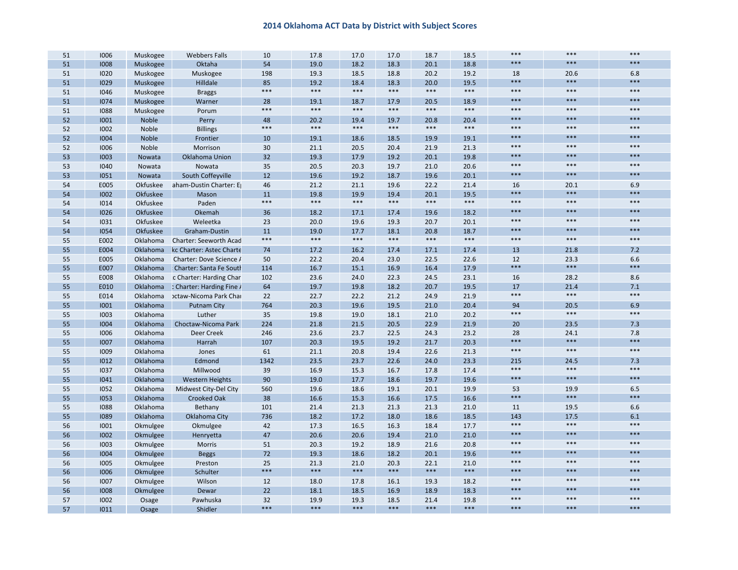| $***$<br>***<br>$***$<br>54<br>51<br>1008<br>Muskogee<br>Oktaha<br>19.0<br>18.2<br>18.3<br>20.1<br>18.8<br>198<br>18.8<br>19.2<br>51<br>1020<br>Muskogee<br>Muskogee<br>19.3<br>18.5<br>20.2<br>18<br>20.6<br>6.8<br>$***$<br>$***$<br>$***$<br>51<br>85<br>19.5<br>1029<br>Muskogee<br>Hilldale<br>19.2<br>18.4<br>18.3<br>20.0<br>***<br>$***$<br>$***$<br>$***$<br>$***$<br>$***$<br>$***$<br>$***$<br>$***$<br>51<br>1046<br>Muskogee<br><b>Braggs</b><br>$***$<br>***<br>$***$<br>51<br>1074<br>Muskogee<br>Warner<br>28<br>19.1<br>18.7<br>17.9<br>20.5<br>18.9<br>$***$<br>***<br>$***$<br>$***$<br>$***$<br>$***$<br>$***$<br>$***$<br>$***$<br>51<br>Porum<br>1088<br>Muskogee<br>$***$<br>***<br>$***$<br>52<br>1001<br>Perry<br>20.2<br>Noble<br>48<br>19.4<br>19.7<br>20.8<br>20.4<br>***<br>$***$<br>$***$<br>$***$<br>$***$<br>$***$<br>$***$<br>$***$<br>$***$<br>52<br>1002<br>Noble<br><b>Billings</b><br>$***$<br>***<br>***<br>52<br>1004<br>Noble<br>19.1<br>Frontier<br>10<br>19.1<br>18.6<br>18.5<br>19.9<br>$***$<br>***<br>$***$<br>52<br>21.3<br>1006<br>Noble<br>Morrison<br>30<br>21.1<br>20.5<br>20.4<br>21.9<br>$***$<br>***<br>$***$<br>32<br>53<br>1003<br>Oklahoma Union<br>19.3<br>17.9<br>19.2<br>20.1<br>19.8<br>Nowata<br>$***$<br>$***$<br>$***$<br>35<br>20.6<br>53<br>1040<br>Nowata<br>Nowata<br>20.5<br>20.3<br>19.7<br>21.0<br>$***$<br>***<br>$***$<br>12<br>53<br>1051<br>South Coffeyville<br>19.6<br>19.2<br>18.7<br>19.6<br>20.1<br>Nowata<br>54<br>46<br>21.4<br>E005<br>Okfuskee<br>aham-Dustin Charter: E<br>21.2<br>21.1<br>19.6<br>22.2<br>16<br>20.1<br>6.9<br>$***$<br>$***$<br>$***$<br>11<br>19.5<br>54<br>1002<br>Okfuskee<br>19.8<br>19.9<br>19.4<br>20.1<br>Mason<br>$***$<br>$***$<br>$***$<br>$***$<br>$***$<br>$***$<br>$***$<br>$***$<br>$***$<br>54<br>1014<br>Okfuskee<br>Paden<br>$***$<br>***<br>$***$<br>54<br>Okemah<br>1026<br>Okfuskee<br>36<br>18.2<br>17.1<br>17.4<br>19.6<br>18.2<br>$***$<br>$***$<br>$***$<br>54<br>1031<br>Okfuskee<br>Weleetka<br>23<br>20.0<br>19.6<br>19.3<br>20.7<br>20.1<br>$***$<br>***<br>$***$<br>54<br>11<br>17.7<br>18.7<br>1054<br>Okfuskee<br>Graham-Dustin<br>19.0<br>18.1<br>20.8<br>$***$<br>$***$<br>$***$<br>$***$<br>$***$<br>$***$<br>***<br>$***$<br>$***$<br>55<br>E002<br>Oklahoma<br><b>Charter: Seeworth Acad</b><br>55<br>E004<br>16.2<br>17.4<br>7.2<br>Oklahoma<br>kc Charter: Astec Charte<br>74<br>17.2<br>17.4<br>17.1<br>13<br>21.8<br>23.0<br>55<br>E005<br>Oklahoma<br>50<br>22.2<br>20.4<br>22.5<br>22.6<br>12<br>23.3<br>6.6<br>Charter: Dove Science /<br>$***$<br>***<br>$***$<br>55<br>E007<br>Oklahoma<br>114<br>16.7<br>15.1<br>16.9<br>16.4<br>17.9<br>Charter: Santa Fe South<br>23.1<br>8.6<br>55<br>E008<br>Oklahoma<br>c Charter: Harding Char<br>102<br>23.6<br>24.0<br>22.3<br>24.5<br>16<br>28.2<br>55<br>64<br>19.5<br>E010<br>Oklahoma<br>: Charter: Harding Fine /<br>19.7<br>19.8<br>18.2<br>20.7<br>17<br>21.4<br>7.1<br>$***$<br>$***$<br>$***$<br>55<br>22<br>22.2<br>21.2<br>21.9<br>E014<br>Oklahoma<br>octaw-Nicoma Park Char<br>22.7<br>24.9<br>55<br>764<br>20.3<br>19.6<br>19.5<br>21.0<br>20.4<br>1001<br>Oklahoma<br><b>Putnam City</b><br>94<br>20.5<br>6.9<br>$***$<br>$***$<br>$***$<br>55<br>Luther<br>35<br>19.8<br>19.0<br>20.2<br>1003<br>Oklahoma<br>18.1<br>21.0<br>55<br>224<br>21.5<br>20.5<br>21.9<br>7.3<br>1004<br>Oklahoma<br>Choctaw-Nicoma Park<br>21.8<br>22.9<br>20<br>23.5<br>246<br>55<br>1006<br>Oklahoma<br>Deer Creek<br>23.7<br>22.5<br>24.3<br>23.2<br>28<br>24.1<br>7.8<br>23.6<br>$***$<br>***<br>$***$<br>55<br>1007<br>Oklahoma<br>107<br>19.5<br>19.2<br>21.7<br>20.3<br>Harrah<br>20.3<br>$***$<br>$***$<br>$***$<br>55<br>1009<br>Oklahoma<br>Jones<br>61<br>21.1<br>20.8<br>19.4<br>22.6<br>21.3<br>55<br>1012<br>Oklahoma<br>Edmond<br>1342<br>23.5<br>23.7<br>22.6<br>24.0<br>23.3<br>7.3<br>215<br>24.5<br>$***$<br>$***$<br>$***$<br>17.4<br>55<br>1037<br>Oklahoma<br>Millwood<br>39<br>16.9<br>15.3<br>16.7<br>17.8<br>$***$<br>$***$<br>***<br>55<br>1041<br>Oklahoma<br>90<br>19.0<br>17.7<br>18.6<br>19.7<br>19.6<br><b>Western Heights</b><br>55<br>19.9<br>1052<br>Oklahoma<br>560<br>19.6<br>18.6<br>19.1<br>20.1<br>53<br>19.9<br>6.5<br>Midwest City-Del City<br>$***$<br>***<br>$***$<br>38<br>16.6<br>55<br>1053<br>Oklahoma<br><b>Crooked Oak</b><br>16.6<br>15.3<br>16.6<br>17.5<br>55<br>101<br>21.3<br>21.3<br>21.3<br>1088<br>Oklahoma<br>Bethany<br>21.4<br>21.0<br>11<br>19.5<br>6.6<br>55<br>736<br>17.2<br>18.5<br>143<br>1089<br>Oklahoma<br>Oklahoma City<br>18.2<br>18.0<br>18.6<br>17.5<br>6.1<br>$***$<br>$***$<br>$***$<br>56<br>42<br>17.3<br>16.5<br>16.3<br>17.7<br>1001<br>Okmulgee<br>Okmulgee<br>18.4<br>$***$<br>***<br>$***$<br>56<br>1002<br>47<br>20.6<br>20.6<br>21.0<br>Okmulgee<br>19.4<br>21.0<br>Henryetta<br>$***$<br>***<br>$***$<br>56<br>51<br>20.3<br>19.2<br>18.9<br>21.6<br>20.8<br>1003<br>Okmulgee<br>Morris<br>$***$<br>***<br>$***$<br>56<br>72<br>19.3<br>18.6<br>20.1<br>19.6<br>1004<br>Okmulgee<br><b>Beggs</b><br>18.2<br>$***$<br>***<br>$***$<br>25<br>56<br>Preston<br>21.3<br>21.0<br>20.3<br>21.0<br>1005<br>Okmulgee<br>22.1<br>***<br>$***$<br>$***$<br>$***$<br>$***$<br>***<br>$***$<br>***<br>$***$<br>56<br>1006<br>Schulter<br>Okmulgee<br>$***$<br>$***$<br>$***$<br>56<br>1007<br>Wilson<br>12<br>17.8<br>16.1<br>18.2<br>Okmulgee<br>18.0<br>19.3<br>$***$<br>***<br>$***$<br>1008<br>22<br>18.1<br>16.9<br>18.9<br>18.3<br>56<br>Okmulgee<br>Dewar<br>18.5<br>$***$<br>***<br>$***$<br>57<br>32<br>1002<br>Pawhuska<br>19.9<br>19.3<br>18.5<br>21.4<br>19.8<br>Osage<br>***<br>$***$<br>***<br>***<br>***<br>***<br>***<br>***<br>$***$<br>57<br>1011<br>Shidler<br>Osage | 51 | 1006 | Muskogee | <b>Webbers Falls</b> | 10 | 17.8 | 17.0 | 17.0 | 18.7 | 18.5 | $***$ | *** | $***$ |
|-------------------------------------------------------------------------------------------------------------------------------------------------------------------------------------------------------------------------------------------------------------------------------------------------------------------------------------------------------------------------------------------------------------------------------------------------------------------------------------------------------------------------------------------------------------------------------------------------------------------------------------------------------------------------------------------------------------------------------------------------------------------------------------------------------------------------------------------------------------------------------------------------------------------------------------------------------------------------------------------------------------------------------------------------------------------------------------------------------------------------------------------------------------------------------------------------------------------------------------------------------------------------------------------------------------------------------------------------------------------------------------------------------------------------------------------------------------------------------------------------------------------------------------------------------------------------------------------------------------------------------------------------------------------------------------------------------------------------------------------------------------------------------------------------------------------------------------------------------------------------------------------------------------------------------------------------------------------------------------------------------------------------------------------------------------------------------------------------------------------------------------------------------------------------------------------------------------------------------------------------------------------------------------------------------------------------------------------------------------------------------------------------------------------------------------------------------------------------------------------------------------------------------------------------------------------------------------------------------------------------------------------------------------------------------------------------------------------------------------------------------------------------------------------------------------------------------------------------------------------------------------------------------------------------------------------------------------------------------------------------------------------------------------------------------------------------------------------------------------------------------------------------------------------------------------------------------------------------------------------------------------------------------------------------------------------------------------------------------------------------------------------------------------------------------------------------------------------------------------------------------------------------------------------------------------------------------------------------------------------------------------------------------------------------------------------------------------------------------------------------------------------------------------------------------------------------------------------------------------------------------------------------------------------------------------------------------------------------------------------------------------------------------------------------------------------------------------------------------------------------------------------------------------------------------------------------------------------------------------------------------------------------------------------------------------------------------------------------------------------------------------------------------------------------------------------------------------------------------------------------------------------------------------------------------------------------------------------------------------------------------------------------------------------------------------------------------------------------------------------------------------------------------------------------------------------------------------------------------------------------------------------------------------------------------------------------------------------------------------------------------------------------------------------------------------------------------------------------------------------------------------------------------------------------------------------------------------------------------------------------------------------------------------------------------------------------------------------------------------------------------------------------------------------------------------------------------------------------------------------------------------------------------------------------------------------------------------------------------------------------------------------------------------------------------------------------------------------------------------------------------|----|------|----------|----------------------|----|------|------|------|------|------|-------|-----|-------|
|                                                                                                                                                                                                                                                                                                                                                                                                                                                                                                                                                                                                                                                                                                                                                                                                                                                                                                                                                                                                                                                                                                                                                                                                                                                                                                                                                                                                                                                                                                                                                                                                                                                                                                                                                                                                                                                                                                                                                                                                                                                                                                                                                                                                                                                                                                                                                                                                                                                                                                                                                                                                                                                                                                                                                                                                                                                                                                                                                                                                                                                                                                                                                                                                                                                                                                                                                                                                                                                                                                                                                                                                                                                                                                                                                                                                                                                                                                                                                                                                                                                                                                                                                                                                                                                                                                                                                                                                                                                                                                                                                                                                                                                                                                                                                                                                                                                                                                                                                                                                                                                                                                                                                                                                                                                                                                                                                                                                                                                                                                                                                                                                                                                                                                                                                       |    |      |          |                      |    |      |      |      |      |      |       |     |       |
|                                                                                                                                                                                                                                                                                                                                                                                                                                                                                                                                                                                                                                                                                                                                                                                                                                                                                                                                                                                                                                                                                                                                                                                                                                                                                                                                                                                                                                                                                                                                                                                                                                                                                                                                                                                                                                                                                                                                                                                                                                                                                                                                                                                                                                                                                                                                                                                                                                                                                                                                                                                                                                                                                                                                                                                                                                                                                                                                                                                                                                                                                                                                                                                                                                                                                                                                                                                                                                                                                                                                                                                                                                                                                                                                                                                                                                                                                                                                                                                                                                                                                                                                                                                                                                                                                                                                                                                                                                                                                                                                                                                                                                                                                                                                                                                                                                                                                                                                                                                                                                                                                                                                                                                                                                                                                                                                                                                                                                                                                                                                                                                                                                                                                                                                                       |    |      |          |                      |    |      |      |      |      |      |       |     |       |
|                                                                                                                                                                                                                                                                                                                                                                                                                                                                                                                                                                                                                                                                                                                                                                                                                                                                                                                                                                                                                                                                                                                                                                                                                                                                                                                                                                                                                                                                                                                                                                                                                                                                                                                                                                                                                                                                                                                                                                                                                                                                                                                                                                                                                                                                                                                                                                                                                                                                                                                                                                                                                                                                                                                                                                                                                                                                                                                                                                                                                                                                                                                                                                                                                                                                                                                                                                                                                                                                                                                                                                                                                                                                                                                                                                                                                                                                                                                                                                                                                                                                                                                                                                                                                                                                                                                                                                                                                                                                                                                                                                                                                                                                                                                                                                                                                                                                                                                                                                                                                                                                                                                                                                                                                                                                                                                                                                                                                                                                                                                                                                                                                                                                                                                                                       |    |      |          |                      |    |      |      |      |      |      |       |     |       |
|                                                                                                                                                                                                                                                                                                                                                                                                                                                                                                                                                                                                                                                                                                                                                                                                                                                                                                                                                                                                                                                                                                                                                                                                                                                                                                                                                                                                                                                                                                                                                                                                                                                                                                                                                                                                                                                                                                                                                                                                                                                                                                                                                                                                                                                                                                                                                                                                                                                                                                                                                                                                                                                                                                                                                                                                                                                                                                                                                                                                                                                                                                                                                                                                                                                                                                                                                                                                                                                                                                                                                                                                                                                                                                                                                                                                                                                                                                                                                                                                                                                                                                                                                                                                                                                                                                                                                                                                                                                                                                                                                                                                                                                                                                                                                                                                                                                                                                                                                                                                                                                                                                                                                                                                                                                                                                                                                                                                                                                                                                                                                                                                                                                                                                                                                       |    |      |          |                      |    |      |      |      |      |      |       |     |       |
|                                                                                                                                                                                                                                                                                                                                                                                                                                                                                                                                                                                                                                                                                                                                                                                                                                                                                                                                                                                                                                                                                                                                                                                                                                                                                                                                                                                                                                                                                                                                                                                                                                                                                                                                                                                                                                                                                                                                                                                                                                                                                                                                                                                                                                                                                                                                                                                                                                                                                                                                                                                                                                                                                                                                                                                                                                                                                                                                                                                                                                                                                                                                                                                                                                                                                                                                                                                                                                                                                                                                                                                                                                                                                                                                                                                                                                                                                                                                                                                                                                                                                                                                                                                                                                                                                                                                                                                                                                                                                                                                                                                                                                                                                                                                                                                                                                                                                                                                                                                                                                                                                                                                                                                                                                                                                                                                                                                                                                                                                                                                                                                                                                                                                                                                                       |    |      |          |                      |    |      |      |      |      |      |       |     |       |
|                                                                                                                                                                                                                                                                                                                                                                                                                                                                                                                                                                                                                                                                                                                                                                                                                                                                                                                                                                                                                                                                                                                                                                                                                                                                                                                                                                                                                                                                                                                                                                                                                                                                                                                                                                                                                                                                                                                                                                                                                                                                                                                                                                                                                                                                                                                                                                                                                                                                                                                                                                                                                                                                                                                                                                                                                                                                                                                                                                                                                                                                                                                                                                                                                                                                                                                                                                                                                                                                                                                                                                                                                                                                                                                                                                                                                                                                                                                                                                                                                                                                                                                                                                                                                                                                                                                                                                                                                                                                                                                                                                                                                                                                                                                                                                                                                                                                                                                                                                                                                                                                                                                                                                                                                                                                                                                                                                                                                                                                                                                                                                                                                                                                                                                                                       |    |      |          |                      |    |      |      |      |      |      |       |     |       |
|                                                                                                                                                                                                                                                                                                                                                                                                                                                                                                                                                                                                                                                                                                                                                                                                                                                                                                                                                                                                                                                                                                                                                                                                                                                                                                                                                                                                                                                                                                                                                                                                                                                                                                                                                                                                                                                                                                                                                                                                                                                                                                                                                                                                                                                                                                                                                                                                                                                                                                                                                                                                                                                                                                                                                                                                                                                                                                                                                                                                                                                                                                                                                                                                                                                                                                                                                                                                                                                                                                                                                                                                                                                                                                                                                                                                                                                                                                                                                                                                                                                                                                                                                                                                                                                                                                                                                                                                                                                                                                                                                                                                                                                                                                                                                                                                                                                                                                                                                                                                                                                                                                                                                                                                                                                                                                                                                                                                                                                                                                                                                                                                                                                                                                                                                       |    |      |          |                      |    |      |      |      |      |      |       |     |       |
|                                                                                                                                                                                                                                                                                                                                                                                                                                                                                                                                                                                                                                                                                                                                                                                                                                                                                                                                                                                                                                                                                                                                                                                                                                                                                                                                                                                                                                                                                                                                                                                                                                                                                                                                                                                                                                                                                                                                                                                                                                                                                                                                                                                                                                                                                                                                                                                                                                                                                                                                                                                                                                                                                                                                                                                                                                                                                                                                                                                                                                                                                                                                                                                                                                                                                                                                                                                                                                                                                                                                                                                                                                                                                                                                                                                                                                                                                                                                                                                                                                                                                                                                                                                                                                                                                                                                                                                                                                                                                                                                                                                                                                                                                                                                                                                                                                                                                                                                                                                                                                                                                                                                                                                                                                                                                                                                                                                                                                                                                                                                                                                                                                                                                                                                                       |    |      |          |                      |    |      |      |      |      |      |       |     |       |
|                                                                                                                                                                                                                                                                                                                                                                                                                                                                                                                                                                                                                                                                                                                                                                                                                                                                                                                                                                                                                                                                                                                                                                                                                                                                                                                                                                                                                                                                                                                                                                                                                                                                                                                                                                                                                                                                                                                                                                                                                                                                                                                                                                                                                                                                                                                                                                                                                                                                                                                                                                                                                                                                                                                                                                                                                                                                                                                                                                                                                                                                                                                                                                                                                                                                                                                                                                                                                                                                                                                                                                                                                                                                                                                                                                                                                                                                                                                                                                                                                                                                                                                                                                                                                                                                                                                                                                                                                                                                                                                                                                                                                                                                                                                                                                                                                                                                                                                                                                                                                                                                                                                                                                                                                                                                                                                                                                                                                                                                                                                                                                                                                                                                                                                                                       |    |      |          |                      |    |      |      |      |      |      |       |     |       |
|                                                                                                                                                                                                                                                                                                                                                                                                                                                                                                                                                                                                                                                                                                                                                                                                                                                                                                                                                                                                                                                                                                                                                                                                                                                                                                                                                                                                                                                                                                                                                                                                                                                                                                                                                                                                                                                                                                                                                                                                                                                                                                                                                                                                                                                                                                                                                                                                                                                                                                                                                                                                                                                                                                                                                                                                                                                                                                                                                                                                                                                                                                                                                                                                                                                                                                                                                                                                                                                                                                                                                                                                                                                                                                                                                                                                                                                                                                                                                                                                                                                                                                                                                                                                                                                                                                                                                                                                                                                                                                                                                                                                                                                                                                                                                                                                                                                                                                                                                                                                                                                                                                                                                                                                                                                                                                                                                                                                                                                                                                                                                                                                                                                                                                                                                       |    |      |          |                      |    |      |      |      |      |      |       |     |       |
|                                                                                                                                                                                                                                                                                                                                                                                                                                                                                                                                                                                                                                                                                                                                                                                                                                                                                                                                                                                                                                                                                                                                                                                                                                                                                                                                                                                                                                                                                                                                                                                                                                                                                                                                                                                                                                                                                                                                                                                                                                                                                                                                                                                                                                                                                                                                                                                                                                                                                                                                                                                                                                                                                                                                                                                                                                                                                                                                                                                                                                                                                                                                                                                                                                                                                                                                                                                                                                                                                                                                                                                                                                                                                                                                                                                                                                                                                                                                                                                                                                                                                                                                                                                                                                                                                                                                                                                                                                                                                                                                                                                                                                                                                                                                                                                                                                                                                                                                                                                                                                                                                                                                                                                                                                                                                                                                                                                                                                                                                                                                                                                                                                                                                                                                                       |    |      |          |                      |    |      |      |      |      |      |       |     |       |
|                                                                                                                                                                                                                                                                                                                                                                                                                                                                                                                                                                                                                                                                                                                                                                                                                                                                                                                                                                                                                                                                                                                                                                                                                                                                                                                                                                                                                                                                                                                                                                                                                                                                                                                                                                                                                                                                                                                                                                                                                                                                                                                                                                                                                                                                                                                                                                                                                                                                                                                                                                                                                                                                                                                                                                                                                                                                                                                                                                                                                                                                                                                                                                                                                                                                                                                                                                                                                                                                                                                                                                                                                                                                                                                                                                                                                                                                                                                                                                                                                                                                                                                                                                                                                                                                                                                                                                                                                                                                                                                                                                                                                                                                                                                                                                                                                                                                                                                                                                                                                                                                                                                                                                                                                                                                                                                                                                                                                                                                                                                                                                                                                                                                                                                                                       |    |      |          |                      |    |      |      |      |      |      |       |     |       |
|                                                                                                                                                                                                                                                                                                                                                                                                                                                                                                                                                                                                                                                                                                                                                                                                                                                                                                                                                                                                                                                                                                                                                                                                                                                                                                                                                                                                                                                                                                                                                                                                                                                                                                                                                                                                                                                                                                                                                                                                                                                                                                                                                                                                                                                                                                                                                                                                                                                                                                                                                                                                                                                                                                                                                                                                                                                                                                                                                                                                                                                                                                                                                                                                                                                                                                                                                                                                                                                                                                                                                                                                                                                                                                                                                                                                                                                                                                                                                                                                                                                                                                                                                                                                                                                                                                                                                                                                                                                                                                                                                                                                                                                                                                                                                                                                                                                                                                                                                                                                                                                                                                                                                                                                                                                                                                                                                                                                                                                                                                                                                                                                                                                                                                                                                       |    |      |          |                      |    |      |      |      |      |      |       |     |       |
|                                                                                                                                                                                                                                                                                                                                                                                                                                                                                                                                                                                                                                                                                                                                                                                                                                                                                                                                                                                                                                                                                                                                                                                                                                                                                                                                                                                                                                                                                                                                                                                                                                                                                                                                                                                                                                                                                                                                                                                                                                                                                                                                                                                                                                                                                                                                                                                                                                                                                                                                                                                                                                                                                                                                                                                                                                                                                                                                                                                                                                                                                                                                                                                                                                                                                                                                                                                                                                                                                                                                                                                                                                                                                                                                                                                                                                                                                                                                                                                                                                                                                                                                                                                                                                                                                                                                                                                                                                                                                                                                                                                                                                                                                                                                                                                                                                                                                                                                                                                                                                                                                                                                                                                                                                                                                                                                                                                                                                                                                                                                                                                                                                                                                                                                                       |    |      |          |                      |    |      |      |      |      |      |       |     |       |
|                                                                                                                                                                                                                                                                                                                                                                                                                                                                                                                                                                                                                                                                                                                                                                                                                                                                                                                                                                                                                                                                                                                                                                                                                                                                                                                                                                                                                                                                                                                                                                                                                                                                                                                                                                                                                                                                                                                                                                                                                                                                                                                                                                                                                                                                                                                                                                                                                                                                                                                                                                                                                                                                                                                                                                                                                                                                                                                                                                                                                                                                                                                                                                                                                                                                                                                                                                                                                                                                                                                                                                                                                                                                                                                                                                                                                                                                                                                                                                                                                                                                                                                                                                                                                                                                                                                                                                                                                                                                                                                                                                                                                                                                                                                                                                                                                                                                                                                                                                                                                                                                                                                                                                                                                                                                                                                                                                                                                                                                                                                                                                                                                                                                                                                                                       |    |      |          |                      |    |      |      |      |      |      |       |     |       |
|                                                                                                                                                                                                                                                                                                                                                                                                                                                                                                                                                                                                                                                                                                                                                                                                                                                                                                                                                                                                                                                                                                                                                                                                                                                                                                                                                                                                                                                                                                                                                                                                                                                                                                                                                                                                                                                                                                                                                                                                                                                                                                                                                                                                                                                                                                                                                                                                                                                                                                                                                                                                                                                                                                                                                                                                                                                                                                                                                                                                                                                                                                                                                                                                                                                                                                                                                                                                                                                                                                                                                                                                                                                                                                                                                                                                                                                                                                                                                                                                                                                                                                                                                                                                                                                                                                                                                                                                                                                                                                                                                                                                                                                                                                                                                                                                                                                                                                                                                                                                                                                                                                                                                                                                                                                                                                                                                                                                                                                                                                                                                                                                                                                                                                                                                       |    |      |          |                      |    |      |      |      |      |      |       |     |       |
|                                                                                                                                                                                                                                                                                                                                                                                                                                                                                                                                                                                                                                                                                                                                                                                                                                                                                                                                                                                                                                                                                                                                                                                                                                                                                                                                                                                                                                                                                                                                                                                                                                                                                                                                                                                                                                                                                                                                                                                                                                                                                                                                                                                                                                                                                                                                                                                                                                                                                                                                                                                                                                                                                                                                                                                                                                                                                                                                                                                                                                                                                                                                                                                                                                                                                                                                                                                                                                                                                                                                                                                                                                                                                                                                                                                                                                                                                                                                                                                                                                                                                                                                                                                                                                                                                                                                                                                                                                                                                                                                                                                                                                                                                                                                                                                                                                                                                                                                                                                                                                                                                                                                                                                                                                                                                                                                                                                                                                                                                                                                                                                                                                                                                                                                                       |    |      |          |                      |    |      |      |      |      |      |       |     |       |
|                                                                                                                                                                                                                                                                                                                                                                                                                                                                                                                                                                                                                                                                                                                                                                                                                                                                                                                                                                                                                                                                                                                                                                                                                                                                                                                                                                                                                                                                                                                                                                                                                                                                                                                                                                                                                                                                                                                                                                                                                                                                                                                                                                                                                                                                                                                                                                                                                                                                                                                                                                                                                                                                                                                                                                                                                                                                                                                                                                                                                                                                                                                                                                                                                                                                                                                                                                                                                                                                                                                                                                                                                                                                                                                                                                                                                                                                                                                                                                                                                                                                                                                                                                                                                                                                                                                                                                                                                                                                                                                                                                                                                                                                                                                                                                                                                                                                                                                                                                                                                                                                                                                                                                                                                                                                                                                                                                                                                                                                                                                                                                                                                                                                                                                                                       |    |      |          |                      |    |      |      |      |      |      |       |     |       |
|                                                                                                                                                                                                                                                                                                                                                                                                                                                                                                                                                                                                                                                                                                                                                                                                                                                                                                                                                                                                                                                                                                                                                                                                                                                                                                                                                                                                                                                                                                                                                                                                                                                                                                                                                                                                                                                                                                                                                                                                                                                                                                                                                                                                                                                                                                                                                                                                                                                                                                                                                                                                                                                                                                                                                                                                                                                                                                                                                                                                                                                                                                                                                                                                                                                                                                                                                                                                                                                                                                                                                                                                                                                                                                                                                                                                                                                                                                                                                                                                                                                                                                                                                                                                                                                                                                                                                                                                                                                                                                                                                                                                                                                                                                                                                                                                                                                                                                                                                                                                                                                                                                                                                                                                                                                                                                                                                                                                                                                                                                                                                                                                                                                                                                                                                       |    |      |          |                      |    |      |      |      |      |      |       |     |       |
|                                                                                                                                                                                                                                                                                                                                                                                                                                                                                                                                                                                                                                                                                                                                                                                                                                                                                                                                                                                                                                                                                                                                                                                                                                                                                                                                                                                                                                                                                                                                                                                                                                                                                                                                                                                                                                                                                                                                                                                                                                                                                                                                                                                                                                                                                                                                                                                                                                                                                                                                                                                                                                                                                                                                                                                                                                                                                                                                                                                                                                                                                                                                                                                                                                                                                                                                                                                                                                                                                                                                                                                                                                                                                                                                                                                                                                                                                                                                                                                                                                                                                                                                                                                                                                                                                                                                                                                                                                                                                                                                                                                                                                                                                                                                                                                                                                                                                                                                                                                                                                                                                                                                                                                                                                                                                                                                                                                                                                                                                                                                                                                                                                                                                                                                                       |    |      |          |                      |    |      |      |      |      |      |       |     |       |
|                                                                                                                                                                                                                                                                                                                                                                                                                                                                                                                                                                                                                                                                                                                                                                                                                                                                                                                                                                                                                                                                                                                                                                                                                                                                                                                                                                                                                                                                                                                                                                                                                                                                                                                                                                                                                                                                                                                                                                                                                                                                                                                                                                                                                                                                                                                                                                                                                                                                                                                                                                                                                                                                                                                                                                                                                                                                                                                                                                                                                                                                                                                                                                                                                                                                                                                                                                                                                                                                                                                                                                                                                                                                                                                                                                                                                                                                                                                                                                                                                                                                                                                                                                                                                                                                                                                                                                                                                                                                                                                                                                                                                                                                                                                                                                                                                                                                                                                                                                                                                                                                                                                                                                                                                                                                                                                                                                                                                                                                                                                                                                                                                                                                                                                                                       |    |      |          |                      |    |      |      |      |      |      |       |     |       |
|                                                                                                                                                                                                                                                                                                                                                                                                                                                                                                                                                                                                                                                                                                                                                                                                                                                                                                                                                                                                                                                                                                                                                                                                                                                                                                                                                                                                                                                                                                                                                                                                                                                                                                                                                                                                                                                                                                                                                                                                                                                                                                                                                                                                                                                                                                                                                                                                                                                                                                                                                                                                                                                                                                                                                                                                                                                                                                                                                                                                                                                                                                                                                                                                                                                                                                                                                                                                                                                                                                                                                                                                                                                                                                                                                                                                                                                                                                                                                                                                                                                                                                                                                                                                                                                                                                                                                                                                                                                                                                                                                                                                                                                                                                                                                                                                                                                                                                                                                                                                                                                                                                                                                                                                                                                                                                                                                                                                                                                                                                                                                                                                                                                                                                                                                       |    |      |          |                      |    |      |      |      |      |      |       |     |       |
|                                                                                                                                                                                                                                                                                                                                                                                                                                                                                                                                                                                                                                                                                                                                                                                                                                                                                                                                                                                                                                                                                                                                                                                                                                                                                                                                                                                                                                                                                                                                                                                                                                                                                                                                                                                                                                                                                                                                                                                                                                                                                                                                                                                                                                                                                                                                                                                                                                                                                                                                                                                                                                                                                                                                                                                                                                                                                                                                                                                                                                                                                                                                                                                                                                                                                                                                                                                                                                                                                                                                                                                                                                                                                                                                                                                                                                                                                                                                                                                                                                                                                                                                                                                                                                                                                                                                                                                                                                                                                                                                                                                                                                                                                                                                                                                                                                                                                                                                                                                                                                                                                                                                                                                                                                                                                                                                                                                                                                                                                                                                                                                                                                                                                                                                                       |    |      |          |                      |    |      |      |      |      |      |       |     |       |
|                                                                                                                                                                                                                                                                                                                                                                                                                                                                                                                                                                                                                                                                                                                                                                                                                                                                                                                                                                                                                                                                                                                                                                                                                                                                                                                                                                                                                                                                                                                                                                                                                                                                                                                                                                                                                                                                                                                                                                                                                                                                                                                                                                                                                                                                                                                                                                                                                                                                                                                                                                                                                                                                                                                                                                                                                                                                                                                                                                                                                                                                                                                                                                                                                                                                                                                                                                                                                                                                                                                                                                                                                                                                                                                                                                                                                                                                                                                                                                                                                                                                                                                                                                                                                                                                                                                                                                                                                                                                                                                                                                                                                                                                                                                                                                                                                                                                                                                                                                                                                                                                                                                                                                                                                                                                                                                                                                                                                                                                                                                                                                                                                                                                                                                                                       |    |      |          |                      |    |      |      |      |      |      |       |     |       |
|                                                                                                                                                                                                                                                                                                                                                                                                                                                                                                                                                                                                                                                                                                                                                                                                                                                                                                                                                                                                                                                                                                                                                                                                                                                                                                                                                                                                                                                                                                                                                                                                                                                                                                                                                                                                                                                                                                                                                                                                                                                                                                                                                                                                                                                                                                                                                                                                                                                                                                                                                                                                                                                                                                                                                                                                                                                                                                                                                                                                                                                                                                                                                                                                                                                                                                                                                                                                                                                                                                                                                                                                                                                                                                                                                                                                                                                                                                                                                                                                                                                                                                                                                                                                                                                                                                                                                                                                                                                                                                                                                                                                                                                                                                                                                                                                                                                                                                                                                                                                                                                                                                                                                                                                                                                                                                                                                                                                                                                                                                                                                                                                                                                                                                                                                       |    |      |          |                      |    |      |      |      |      |      |       |     |       |
|                                                                                                                                                                                                                                                                                                                                                                                                                                                                                                                                                                                                                                                                                                                                                                                                                                                                                                                                                                                                                                                                                                                                                                                                                                                                                                                                                                                                                                                                                                                                                                                                                                                                                                                                                                                                                                                                                                                                                                                                                                                                                                                                                                                                                                                                                                                                                                                                                                                                                                                                                                                                                                                                                                                                                                                                                                                                                                                                                                                                                                                                                                                                                                                                                                                                                                                                                                                                                                                                                                                                                                                                                                                                                                                                                                                                                                                                                                                                                                                                                                                                                                                                                                                                                                                                                                                                                                                                                                                                                                                                                                                                                                                                                                                                                                                                                                                                                                                                                                                                                                                                                                                                                                                                                                                                                                                                                                                                                                                                                                                                                                                                                                                                                                                                                       |    |      |          |                      |    |      |      |      |      |      |       |     |       |
|                                                                                                                                                                                                                                                                                                                                                                                                                                                                                                                                                                                                                                                                                                                                                                                                                                                                                                                                                                                                                                                                                                                                                                                                                                                                                                                                                                                                                                                                                                                                                                                                                                                                                                                                                                                                                                                                                                                                                                                                                                                                                                                                                                                                                                                                                                                                                                                                                                                                                                                                                                                                                                                                                                                                                                                                                                                                                                                                                                                                                                                                                                                                                                                                                                                                                                                                                                                                                                                                                                                                                                                                                                                                                                                                                                                                                                                                                                                                                                                                                                                                                                                                                                                                                                                                                                                                                                                                                                                                                                                                                                                                                                                                                                                                                                                                                                                                                                                                                                                                                                                                                                                                                                                                                                                                                                                                                                                                                                                                                                                                                                                                                                                                                                                                                       |    |      |          |                      |    |      |      |      |      |      |       |     |       |
|                                                                                                                                                                                                                                                                                                                                                                                                                                                                                                                                                                                                                                                                                                                                                                                                                                                                                                                                                                                                                                                                                                                                                                                                                                                                                                                                                                                                                                                                                                                                                                                                                                                                                                                                                                                                                                                                                                                                                                                                                                                                                                                                                                                                                                                                                                                                                                                                                                                                                                                                                                                                                                                                                                                                                                                                                                                                                                                                                                                                                                                                                                                                                                                                                                                                                                                                                                                                                                                                                                                                                                                                                                                                                                                                                                                                                                                                                                                                                                                                                                                                                                                                                                                                                                                                                                                                                                                                                                                                                                                                                                                                                                                                                                                                                                                                                                                                                                                                                                                                                                                                                                                                                                                                                                                                                                                                                                                                                                                                                                                                                                                                                                                                                                                                                       |    |      |          |                      |    |      |      |      |      |      |       |     |       |
|                                                                                                                                                                                                                                                                                                                                                                                                                                                                                                                                                                                                                                                                                                                                                                                                                                                                                                                                                                                                                                                                                                                                                                                                                                                                                                                                                                                                                                                                                                                                                                                                                                                                                                                                                                                                                                                                                                                                                                                                                                                                                                                                                                                                                                                                                                                                                                                                                                                                                                                                                                                                                                                                                                                                                                                                                                                                                                                                                                                                                                                                                                                                                                                                                                                                                                                                                                                                                                                                                                                                                                                                                                                                                                                                                                                                                                                                                                                                                                                                                                                                                                                                                                                                                                                                                                                                                                                                                                                                                                                                                                                                                                                                                                                                                                                                                                                                                                                                                                                                                                                                                                                                                                                                                                                                                                                                                                                                                                                                                                                                                                                                                                                                                                                                                       |    |      |          |                      |    |      |      |      |      |      |       |     |       |
|                                                                                                                                                                                                                                                                                                                                                                                                                                                                                                                                                                                                                                                                                                                                                                                                                                                                                                                                                                                                                                                                                                                                                                                                                                                                                                                                                                                                                                                                                                                                                                                                                                                                                                                                                                                                                                                                                                                                                                                                                                                                                                                                                                                                                                                                                                                                                                                                                                                                                                                                                                                                                                                                                                                                                                                                                                                                                                                                                                                                                                                                                                                                                                                                                                                                                                                                                                                                                                                                                                                                                                                                                                                                                                                                                                                                                                                                                                                                                                                                                                                                                                                                                                                                                                                                                                                                                                                                                                                                                                                                                                                                                                                                                                                                                                                                                                                                                                                                                                                                                                                                                                                                                                                                                                                                                                                                                                                                                                                                                                                                                                                                                                                                                                                                                       |    |      |          |                      |    |      |      |      |      |      |       |     |       |
|                                                                                                                                                                                                                                                                                                                                                                                                                                                                                                                                                                                                                                                                                                                                                                                                                                                                                                                                                                                                                                                                                                                                                                                                                                                                                                                                                                                                                                                                                                                                                                                                                                                                                                                                                                                                                                                                                                                                                                                                                                                                                                                                                                                                                                                                                                                                                                                                                                                                                                                                                                                                                                                                                                                                                                                                                                                                                                                                                                                                                                                                                                                                                                                                                                                                                                                                                                                                                                                                                                                                                                                                                                                                                                                                                                                                                                                                                                                                                                                                                                                                                                                                                                                                                                                                                                                                                                                                                                                                                                                                                                                                                                                                                                                                                                                                                                                                                                                                                                                                                                                                                                                                                                                                                                                                                                                                                                                                                                                                                                                                                                                                                                                                                                                                                       |    |      |          |                      |    |      |      |      |      |      |       |     |       |
|                                                                                                                                                                                                                                                                                                                                                                                                                                                                                                                                                                                                                                                                                                                                                                                                                                                                                                                                                                                                                                                                                                                                                                                                                                                                                                                                                                                                                                                                                                                                                                                                                                                                                                                                                                                                                                                                                                                                                                                                                                                                                                                                                                                                                                                                                                                                                                                                                                                                                                                                                                                                                                                                                                                                                                                                                                                                                                                                                                                                                                                                                                                                                                                                                                                                                                                                                                                                                                                                                                                                                                                                                                                                                                                                                                                                                                                                                                                                                                                                                                                                                                                                                                                                                                                                                                                                                                                                                                                                                                                                                                                                                                                                                                                                                                                                                                                                                                                                                                                                                                                                                                                                                                                                                                                                                                                                                                                                                                                                                                                                                                                                                                                                                                                                                       |    |      |          |                      |    |      |      |      |      |      |       |     |       |
|                                                                                                                                                                                                                                                                                                                                                                                                                                                                                                                                                                                                                                                                                                                                                                                                                                                                                                                                                                                                                                                                                                                                                                                                                                                                                                                                                                                                                                                                                                                                                                                                                                                                                                                                                                                                                                                                                                                                                                                                                                                                                                                                                                                                                                                                                                                                                                                                                                                                                                                                                                                                                                                                                                                                                                                                                                                                                                                                                                                                                                                                                                                                                                                                                                                                                                                                                                                                                                                                                                                                                                                                                                                                                                                                                                                                                                                                                                                                                                                                                                                                                                                                                                                                                                                                                                                                                                                                                                                                                                                                                                                                                                                                                                                                                                                                                                                                                                                                                                                                                                                                                                                                                                                                                                                                                                                                                                                                                                                                                                                                                                                                                                                                                                                                                       |    |      |          |                      |    |      |      |      |      |      |       |     |       |
|                                                                                                                                                                                                                                                                                                                                                                                                                                                                                                                                                                                                                                                                                                                                                                                                                                                                                                                                                                                                                                                                                                                                                                                                                                                                                                                                                                                                                                                                                                                                                                                                                                                                                                                                                                                                                                                                                                                                                                                                                                                                                                                                                                                                                                                                                                                                                                                                                                                                                                                                                                                                                                                                                                                                                                                                                                                                                                                                                                                                                                                                                                                                                                                                                                                                                                                                                                                                                                                                                                                                                                                                                                                                                                                                                                                                                                                                                                                                                                                                                                                                                                                                                                                                                                                                                                                                                                                                                                                                                                                                                                                                                                                                                                                                                                                                                                                                                                                                                                                                                                                                                                                                                                                                                                                                                                                                                                                                                                                                                                                                                                                                                                                                                                                                                       |    |      |          |                      |    |      |      |      |      |      |       |     |       |
|                                                                                                                                                                                                                                                                                                                                                                                                                                                                                                                                                                                                                                                                                                                                                                                                                                                                                                                                                                                                                                                                                                                                                                                                                                                                                                                                                                                                                                                                                                                                                                                                                                                                                                                                                                                                                                                                                                                                                                                                                                                                                                                                                                                                                                                                                                                                                                                                                                                                                                                                                                                                                                                                                                                                                                                                                                                                                                                                                                                                                                                                                                                                                                                                                                                                                                                                                                                                                                                                                                                                                                                                                                                                                                                                                                                                                                                                                                                                                                                                                                                                                                                                                                                                                                                                                                                                                                                                                                                                                                                                                                                                                                                                                                                                                                                                                                                                                                                                                                                                                                                                                                                                                                                                                                                                                                                                                                                                                                                                                                                                                                                                                                                                                                                                                       |    |      |          |                      |    |      |      |      |      |      |       |     |       |
|                                                                                                                                                                                                                                                                                                                                                                                                                                                                                                                                                                                                                                                                                                                                                                                                                                                                                                                                                                                                                                                                                                                                                                                                                                                                                                                                                                                                                                                                                                                                                                                                                                                                                                                                                                                                                                                                                                                                                                                                                                                                                                                                                                                                                                                                                                                                                                                                                                                                                                                                                                                                                                                                                                                                                                                                                                                                                                                                                                                                                                                                                                                                                                                                                                                                                                                                                                                                                                                                                                                                                                                                                                                                                                                                                                                                                                                                                                                                                                                                                                                                                                                                                                                                                                                                                                                                                                                                                                                                                                                                                                                                                                                                                                                                                                                                                                                                                                                                                                                                                                                                                                                                                                                                                                                                                                                                                                                                                                                                                                                                                                                                                                                                                                                                                       |    |      |          |                      |    |      |      |      |      |      |       |     |       |
|                                                                                                                                                                                                                                                                                                                                                                                                                                                                                                                                                                                                                                                                                                                                                                                                                                                                                                                                                                                                                                                                                                                                                                                                                                                                                                                                                                                                                                                                                                                                                                                                                                                                                                                                                                                                                                                                                                                                                                                                                                                                                                                                                                                                                                                                                                                                                                                                                                                                                                                                                                                                                                                                                                                                                                                                                                                                                                                                                                                                                                                                                                                                                                                                                                                                                                                                                                                                                                                                                                                                                                                                                                                                                                                                                                                                                                                                                                                                                                                                                                                                                                                                                                                                                                                                                                                                                                                                                                                                                                                                                                                                                                                                                                                                                                                                                                                                                                                                                                                                                                                                                                                                                                                                                                                                                                                                                                                                                                                                                                                                                                                                                                                                                                                                                       |    |      |          |                      |    |      |      |      |      |      |       |     |       |
|                                                                                                                                                                                                                                                                                                                                                                                                                                                                                                                                                                                                                                                                                                                                                                                                                                                                                                                                                                                                                                                                                                                                                                                                                                                                                                                                                                                                                                                                                                                                                                                                                                                                                                                                                                                                                                                                                                                                                                                                                                                                                                                                                                                                                                                                                                                                                                                                                                                                                                                                                                                                                                                                                                                                                                                                                                                                                                                                                                                                                                                                                                                                                                                                                                                                                                                                                                                                                                                                                                                                                                                                                                                                                                                                                                                                                                                                                                                                                                                                                                                                                                                                                                                                                                                                                                                                                                                                                                                                                                                                                                                                                                                                                                                                                                                                                                                                                                                                                                                                                                                                                                                                                                                                                                                                                                                                                                                                                                                                                                                                                                                                                                                                                                                                                       |    |      |          |                      |    |      |      |      |      |      |       |     |       |
|                                                                                                                                                                                                                                                                                                                                                                                                                                                                                                                                                                                                                                                                                                                                                                                                                                                                                                                                                                                                                                                                                                                                                                                                                                                                                                                                                                                                                                                                                                                                                                                                                                                                                                                                                                                                                                                                                                                                                                                                                                                                                                                                                                                                                                                                                                                                                                                                                                                                                                                                                                                                                                                                                                                                                                                                                                                                                                                                                                                                                                                                                                                                                                                                                                                                                                                                                                                                                                                                                                                                                                                                                                                                                                                                                                                                                                                                                                                                                                                                                                                                                                                                                                                                                                                                                                                                                                                                                                                                                                                                                                                                                                                                                                                                                                                                                                                                                                                                                                                                                                                                                                                                                                                                                                                                                                                                                                                                                                                                                                                                                                                                                                                                                                                                                       |    |      |          |                      |    |      |      |      |      |      |       |     |       |
|                                                                                                                                                                                                                                                                                                                                                                                                                                                                                                                                                                                                                                                                                                                                                                                                                                                                                                                                                                                                                                                                                                                                                                                                                                                                                                                                                                                                                                                                                                                                                                                                                                                                                                                                                                                                                                                                                                                                                                                                                                                                                                                                                                                                                                                                                                                                                                                                                                                                                                                                                                                                                                                                                                                                                                                                                                                                                                                                                                                                                                                                                                                                                                                                                                                                                                                                                                                                                                                                                                                                                                                                                                                                                                                                                                                                                                                                                                                                                                                                                                                                                                                                                                                                                                                                                                                                                                                                                                                                                                                                                                                                                                                                                                                                                                                                                                                                                                                                                                                                                                                                                                                                                                                                                                                                                                                                                                                                                                                                                                                                                                                                                                                                                                                                                       |    |      |          |                      |    |      |      |      |      |      |       |     |       |
|                                                                                                                                                                                                                                                                                                                                                                                                                                                                                                                                                                                                                                                                                                                                                                                                                                                                                                                                                                                                                                                                                                                                                                                                                                                                                                                                                                                                                                                                                                                                                                                                                                                                                                                                                                                                                                                                                                                                                                                                                                                                                                                                                                                                                                                                                                                                                                                                                                                                                                                                                                                                                                                                                                                                                                                                                                                                                                                                                                                                                                                                                                                                                                                                                                                                                                                                                                                                                                                                                                                                                                                                                                                                                                                                                                                                                                                                                                                                                                                                                                                                                                                                                                                                                                                                                                                                                                                                                                                                                                                                                                                                                                                                                                                                                                                                                                                                                                                                                                                                                                                                                                                                                                                                                                                                                                                                                                                                                                                                                                                                                                                                                                                                                                                                                       |    |      |          |                      |    |      |      |      |      |      |       |     |       |
|                                                                                                                                                                                                                                                                                                                                                                                                                                                                                                                                                                                                                                                                                                                                                                                                                                                                                                                                                                                                                                                                                                                                                                                                                                                                                                                                                                                                                                                                                                                                                                                                                                                                                                                                                                                                                                                                                                                                                                                                                                                                                                                                                                                                                                                                                                                                                                                                                                                                                                                                                                                                                                                                                                                                                                                                                                                                                                                                                                                                                                                                                                                                                                                                                                                                                                                                                                                                                                                                                                                                                                                                                                                                                                                                                                                                                                                                                                                                                                                                                                                                                                                                                                                                                                                                                                                                                                                                                                                                                                                                                                                                                                                                                                                                                                                                                                                                                                                                                                                                                                                                                                                                                                                                                                                                                                                                                                                                                                                                                                                                                                                                                                                                                                                                                       |    |      |          |                      |    |      |      |      |      |      |       |     |       |
|                                                                                                                                                                                                                                                                                                                                                                                                                                                                                                                                                                                                                                                                                                                                                                                                                                                                                                                                                                                                                                                                                                                                                                                                                                                                                                                                                                                                                                                                                                                                                                                                                                                                                                                                                                                                                                                                                                                                                                                                                                                                                                                                                                                                                                                                                                                                                                                                                                                                                                                                                                                                                                                                                                                                                                                                                                                                                                                                                                                                                                                                                                                                                                                                                                                                                                                                                                                                                                                                                                                                                                                                                                                                                                                                                                                                                                                                                                                                                                                                                                                                                                                                                                                                                                                                                                                                                                                                                                                                                                                                                                                                                                                                                                                                                                                                                                                                                                                                                                                                                                                                                                                                                                                                                                                                                                                                                                                                                                                                                                                                                                                                                                                                                                                                                       |    |      |          |                      |    |      |      |      |      |      |       |     |       |
|                                                                                                                                                                                                                                                                                                                                                                                                                                                                                                                                                                                                                                                                                                                                                                                                                                                                                                                                                                                                                                                                                                                                                                                                                                                                                                                                                                                                                                                                                                                                                                                                                                                                                                                                                                                                                                                                                                                                                                                                                                                                                                                                                                                                                                                                                                                                                                                                                                                                                                                                                                                                                                                                                                                                                                                                                                                                                                                                                                                                                                                                                                                                                                                                                                                                                                                                                                                                                                                                                                                                                                                                                                                                                                                                                                                                                                                                                                                                                                                                                                                                                                                                                                                                                                                                                                                                                                                                                                                                                                                                                                                                                                                                                                                                                                                                                                                                                                                                                                                                                                                                                                                                                                                                                                                                                                                                                                                                                                                                                                                                                                                                                                                                                                                                                       |    |      |          |                      |    |      |      |      |      |      |       |     |       |
|                                                                                                                                                                                                                                                                                                                                                                                                                                                                                                                                                                                                                                                                                                                                                                                                                                                                                                                                                                                                                                                                                                                                                                                                                                                                                                                                                                                                                                                                                                                                                                                                                                                                                                                                                                                                                                                                                                                                                                                                                                                                                                                                                                                                                                                                                                                                                                                                                                                                                                                                                                                                                                                                                                                                                                                                                                                                                                                                                                                                                                                                                                                                                                                                                                                                                                                                                                                                                                                                                                                                                                                                                                                                                                                                                                                                                                                                                                                                                                                                                                                                                                                                                                                                                                                                                                                                                                                                                                                                                                                                                                                                                                                                                                                                                                                                                                                                                                                                                                                                                                                                                                                                                                                                                                                                                                                                                                                                                                                                                                                                                                                                                                                                                                                                                       |    |      |          |                      |    |      |      |      |      |      |       |     |       |
|                                                                                                                                                                                                                                                                                                                                                                                                                                                                                                                                                                                                                                                                                                                                                                                                                                                                                                                                                                                                                                                                                                                                                                                                                                                                                                                                                                                                                                                                                                                                                                                                                                                                                                                                                                                                                                                                                                                                                                                                                                                                                                                                                                                                                                                                                                                                                                                                                                                                                                                                                                                                                                                                                                                                                                                                                                                                                                                                                                                                                                                                                                                                                                                                                                                                                                                                                                                                                                                                                                                                                                                                                                                                                                                                                                                                                                                                                                                                                                                                                                                                                                                                                                                                                                                                                                                                                                                                                                                                                                                                                                                                                                                                                                                                                                                                                                                                                                                                                                                                                                                                                                                                                                                                                                                                                                                                                                                                                                                                                                                                                                                                                                                                                                                                                       |    |      |          |                      |    |      |      |      |      |      |       |     |       |
|                                                                                                                                                                                                                                                                                                                                                                                                                                                                                                                                                                                                                                                                                                                                                                                                                                                                                                                                                                                                                                                                                                                                                                                                                                                                                                                                                                                                                                                                                                                                                                                                                                                                                                                                                                                                                                                                                                                                                                                                                                                                                                                                                                                                                                                                                                                                                                                                                                                                                                                                                                                                                                                                                                                                                                                                                                                                                                                                                                                                                                                                                                                                                                                                                                                                                                                                                                                                                                                                                                                                                                                                                                                                                                                                                                                                                                                                                                                                                                                                                                                                                                                                                                                                                                                                                                                                                                                                                                                                                                                                                                                                                                                                                                                                                                                                                                                                                                                                                                                                                                                                                                                                                                                                                                                                                                                                                                                                                                                                                                                                                                                                                                                                                                                                                       |    |      |          |                      |    |      |      |      |      |      |       |     |       |
|                                                                                                                                                                                                                                                                                                                                                                                                                                                                                                                                                                                                                                                                                                                                                                                                                                                                                                                                                                                                                                                                                                                                                                                                                                                                                                                                                                                                                                                                                                                                                                                                                                                                                                                                                                                                                                                                                                                                                                                                                                                                                                                                                                                                                                                                                                                                                                                                                                                                                                                                                                                                                                                                                                                                                                                                                                                                                                                                                                                                                                                                                                                                                                                                                                                                                                                                                                                                                                                                                                                                                                                                                                                                                                                                                                                                                                                                                                                                                                                                                                                                                                                                                                                                                                                                                                                                                                                                                                                                                                                                                                                                                                                                                                                                                                                                                                                                                                                                                                                                                                                                                                                                                                                                                                                                                                                                                                                                                                                                                                                                                                                                                                                                                                                                                       |    |      |          |                      |    |      |      |      |      |      |       |     |       |
|                                                                                                                                                                                                                                                                                                                                                                                                                                                                                                                                                                                                                                                                                                                                                                                                                                                                                                                                                                                                                                                                                                                                                                                                                                                                                                                                                                                                                                                                                                                                                                                                                                                                                                                                                                                                                                                                                                                                                                                                                                                                                                                                                                                                                                                                                                                                                                                                                                                                                                                                                                                                                                                                                                                                                                                                                                                                                                                                                                                                                                                                                                                                                                                                                                                                                                                                                                                                                                                                                                                                                                                                                                                                                                                                                                                                                                                                                                                                                                                                                                                                                                                                                                                                                                                                                                                                                                                                                                                                                                                                                                                                                                                                                                                                                                                                                                                                                                                                                                                                                                                                                                                                                                                                                                                                                                                                                                                                                                                                                                                                                                                                                                                                                                                                                       |    |      |          |                      |    |      |      |      |      |      |       |     |       |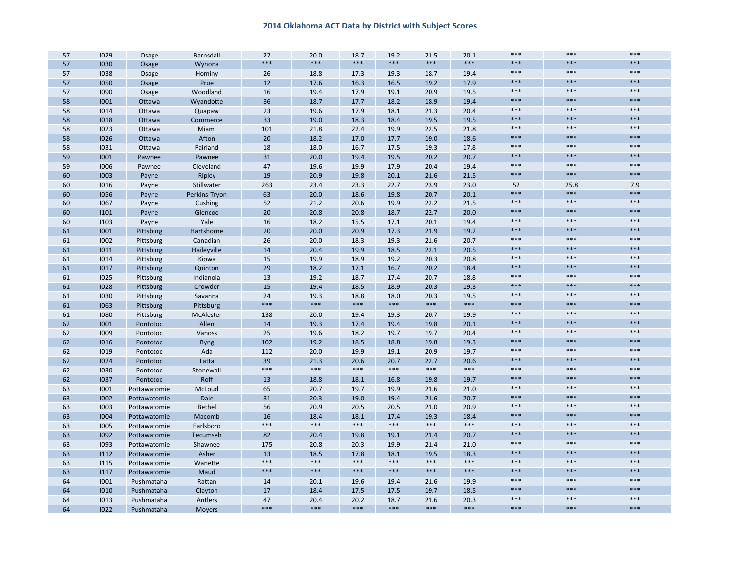| 57 | 1029 | Osage        | Barnsdall     | 22    | 20.0  | 18.7  | 19.2  | 21.5  | 20.1  | ***   | $***$ | $***$ |
|----|------|--------------|---------------|-------|-------|-------|-------|-------|-------|-------|-------|-------|
| 57 | 1030 | Osage        | Wynona        | $***$ | $***$ | $***$ | $***$ | $***$ | $***$ | $***$ | $***$ | $***$ |
| 57 | 1038 | Osage        | Hominy        | 26    | 18.8  | 17.3  | 19.3  | 18.7  | 19.4  | ***   | $***$ | $***$ |
| 57 | 1050 | Osage        | Prue          | 12    | 17.6  | 16.3  | 16.5  | 19.2  | 17.9  | ***   | $***$ | $***$ |
| 57 | 1090 | Osage        | Woodland      | 16    | 19.4  | 17.9  | 19.1  | 20.9  | 19.5  | $***$ | $***$ | $***$ |
| 58 | 1001 | Ottawa       | Wyandotte     | 36    | 18.7  | 17.7  | 18.2  | 18.9  | 19.4  | $***$ | $***$ | $***$ |
| 58 | 1014 | Ottawa       | Quapaw        | 23    | 19.6  | 17.9  | 18.1  | 21.3  | 20.4  | $***$ | $***$ | $***$ |
| 58 | 1018 | Ottawa       | Commerce      | 33    | 19.0  | 18.3  | 18.4  | 19.5  | 19.5  | ***   | $***$ | $***$ |
| 58 | 1023 | Ottawa       | Miami         | 101   | 21.8  | 22.4  | 19.9  | 22.5  | 21.8  | ***   | $***$ | $***$ |
| 58 | 1026 | Ottawa       | Afton         | 20    | 18.2  | 17.0  | 17.7  | 19.0  | 18.6  | ***   | $***$ | $***$ |
| 58 | 1031 | Ottawa       | Fairland      | 18    | 18.0  | 16.7  | 17.5  | 19.3  | 17.8  | $***$ | $***$ | $***$ |
| 59 | 1001 | Pawnee       | Pawnee        | 31    | 20.0  | 19.4  | 19.5  | 20.2  | 20.7  | ***   | $***$ | $***$ |
| 59 | 1006 | Pawnee       | Cleveland     | 47    | 19.6  | 19.9  | 17.9  | 20.4  | 19.4  | ***   | $***$ | $***$ |
| 60 | 1003 | Payne        | Ripley        | 19    | 20.9  | 19.8  | 20.1  | 21.6  | 21.5  | $***$ | $***$ | $***$ |
| 60 | 1016 | Payne        | Stillwater    | 263   | 23.4  | 23.3  | 22.7  | 23.9  | 23.0  | 52    | 25.8  | 7.9   |
| 60 | 1056 | Payne        | Perkins-Tryon | 63    | 20.0  | 18.6  | 19.8  | 20.7  | 20.1  | ***   | $***$ | $***$ |
| 60 | 1067 | Payne        | Cushing       | 52    | 21.2  | 20.6  | 19.9  | 22.2  | 21.5  | $***$ | $***$ | $***$ |
| 60 | 1101 | Payne        | Glencoe       | 20    | 20.8  | 20.8  | 18.7  | 22.7  | 20.0  | ***   | $***$ | $***$ |
| 60 | 1103 | Payne        | Yale          | 16    | 18.2  | 15.5  | 17.1  | 20.1  | 19.4  | ***   | $***$ | $***$ |
| 61 | 1001 | Pittsburg    | Hartshorne    | 20    | 20.0  | 20.9  | 17.3  | 21.9  | 19.2  | ***   | $***$ | $***$ |
| 61 | 1002 | Pittsburg    | Canadian      | 26    | 20.0  | 18.3  | 19.3  | 21.6  | 20.7  | ***   | $***$ | $***$ |
| 61 | 1011 | Pittsburg    | Haileyville   | 14    | 20.4  | 19.9  | 18.5  | 22.1  | 20.5  | ***   | $***$ | $***$ |
| 61 | 1014 | Pittsburg    | Kiowa         | 15    | 19.9  | 18.9  | 19.2  | 20.3  | 20.8  | $***$ | $***$ | $***$ |
| 61 | 1017 | Pittsburg    | Quinton       | 29    | 18.2  | 17.1  | 16.7  | 20.2  | 18.4  | ***   | $***$ | $***$ |
| 61 | 1025 | Pittsburg    | Indianola     | 13    | 19.2  | 18.7  | 17.4  | 20.7  | 18.8  | ***   | $***$ | $***$ |
| 61 | 1028 | Pittsburg    | Crowder       | 15    | 19.4  | 18.5  | 18.9  | 20.3  | 19.3  | ***   | $***$ | $***$ |
| 61 | 1030 | Pittsburg    | Savanna       | 24    | 19.3  | 18.8  | 18.0  | 20.3  | 19.5  | $***$ | $***$ | $***$ |
| 61 | 1063 | Pittsburg    | Pittsburg     | ***   | $***$ | $***$ | ***   | $***$ | ***   | ***   | $***$ | $***$ |
| 61 | 1080 | Pittsburg    | McAlester     | 138   | 20.0  | 19.4  | 19.3  | 20.7  | 19.9  | ***   | $***$ | $***$ |
| 62 | 1001 | Pontotoc     | Allen         | 14    | 19.3  | 17.4  | 19.4  | 19.8  | 20.1  | ***   | $***$ | $***$ |
| 62 | 1009 | Pontotoc     | Vanoss        | 25    | 19.6  | 18.2  | 19.7  | 19.7  | 20.4  | ***   | $***$ | $***$ |
| 62 | 1016 | Pontotoc     | <b>Byng</b>   | 102   | 19.2  | 18.5  | 18.8  | 19.8  | 19.3  | ***   | $***$ | $***$ |
| 62 | 1019 | Pontotoc     | Ada           | 112   | 20.0  | 19.9  | 19.1  | 20.9  | 19.7  | ***   | $***$ | $***$ |
| 62 | 1024 | Pontotoc     | Latta         | 39    | 21.3  | 20.6  | 20.7  | 22.7  | 20.6  | ***   | $***$ | $***$ |
| 62 | 1030 | Pontotoc     | Stonewall     | $***$ | $***$ | $***$ | $***$ | $***$ | $***$ | $***$ | $***$ | $***$ |
| 62 | 1037 | Pontotoc     | Roff          | 13    | 18.8  | 18.1  | 16.8  | 19.8  | 19.7  | ***   | $***$ | $***$ |
| 63 | 1001 | Pottawatomie | McLoud        | 65    | 20.7  | 19.7  | 19.9  | 21.6  | 21.0  | $***$ | $***$ | $***$ |
| 63 | 1002 | Pottawatomie | Dale          | 31    | 20.3  | 19.0  | 19.4  | 21.6  | 20.7  | ***   | $***$ | $***$ |
| 63 | 1003 | Pottawatomie | Bethel        | 56    | 20.9  | 20.5  | 20.5  | 21.0  | 20.9  | $***$ | $***$ | $***$ |
| 63 | 1004 | Pottawatomie | Macomb        | 16    | 18.4  | 18.1  | 17.4  | 19.3  | 18.4  | ***   | $***$ | $***$ |
| 63 | 1005 | Pottawatomie | Earlsboro     | $***$ | $***$ | $***$ | $***$ | $***$ | $***$ | ***   | $***$ | $***$ |
| 63 | 1092 | Pottawatomie | Tecumseh      | 82    | 20.4  | 19.8  | 19.1  | 21.4  | 20.7  | ***   | $***$ | $***$ |
| 63 | 1093 | Pottawatomie | Shawnee       | 175   | 20.8  | 20.3  | 19.9  | 21.4  | 21.0  | $***$ | $***$ | $***$ |
| 63 | 1112 | Pottawatomie | Asher         | 13    | 18.5  | 17.8  | 18.1  | 19.5  | 18.3  | ***   | $***$ | $***$ |
| 63 | 1115 | Pottawatomie | Wanette       | $***$ | $***$ | $***$ | $***$ | $***$ | $***$ | ***   | $***$ | $***$ |
| 63 | 1117 | Pottawatomie | Maud          | $***$ | $***$ | $***$ | $***$ | $***$ | ***   | ***   | $***$ | $***$ |
| 64 | 1001 | Pushmataha   | Rattan        | 14    | 20.1  | 19.6  | 19.4  | 21.6  | 19.9  | $***$ | $***$ | $***$ |
| 64 | 1010 | Pushmataha   | Clayton       | 17    | 18.4  | 17.5  | 17.5  | 19.7  | 18.5  | ***   | $***$ | $***$ |
| 64 | 1013 | Pushmataha   | Antlers       | 47    | 20.4  | 20.2  | 18.7  | 21.6  | 20.3  | $***$ | $***$ | $***$ |
| 64 | 1022 | Pushmataha   | <b>Moyers</b> | ***   | $***$ | $***$ | ***   | $***$ | ***   | ***   | $***$ | $***$ |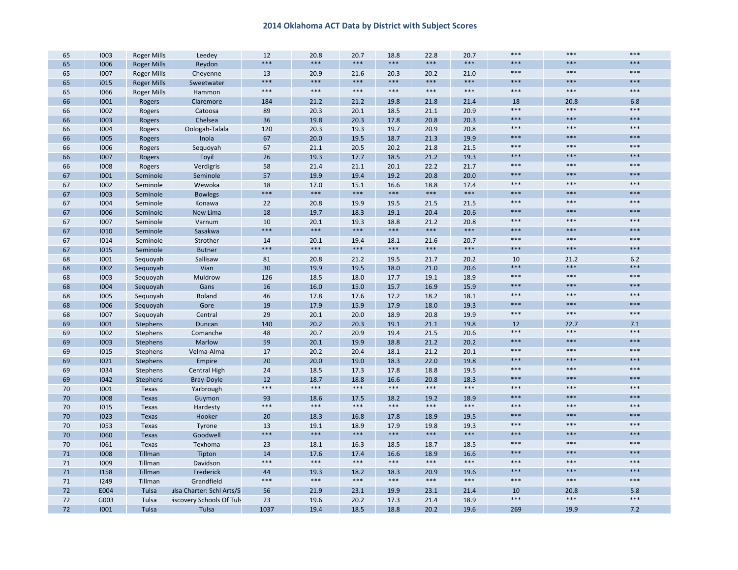| 65 | 1003 | <b>Roger Mills</b> | Leedey                    | 12    | 20.8  | 20.7  | 18.8  | 22.8  | 20.7  | $***$ | $***$ | $***$ |
|----|------|--------------------|---------------------------|-------|-------|-------|-------|-------|-------|-------|-------|-------|
| 65 | 1006 | <b>Roger Mills</b> | Reydon                    | ***   | $***$ | $***$ | $***$ | $***$ | ***   | $***$ | ***   | $***$ |
| 65 | 1007 | <b>Roger Mills</b> | Cheyenne                  | 13    | 20.9  | 21.6  | 20.3  | 20.2  | 21.0  | $***$ | $***$ | $***$ |
| 65 | i015 | <b>Roger Mills</b> | Sweetwater                | ***   | $***$ | $***$ | $***$ | $***$ | ***   | $***$ | ***   | $***$ |
| 65 | 1066 | <b>Roger Mills</b> | Hammon                    | $***$ | $***$ | $***$ | $***$ | $***$ | $***$ | $***$ | $***$ | $***$ |
| 66 | 1001 | Rogers             | Claremore                 | 184   | 21.2  | 21.2  | 19.8  | 21.8  | 21.4  | 18    | 20.8  | 6.8   |
| 66 | 1002 | Rogers             | Catoosa                   | 89    | 20.3  | 20.1  | 18.5  | 21.1  | 20.9  | $***$ | $***$ | $***$ |
| 66 | 1003 | Rogers             | Chelsea                   | 36    | 19.8  | 20.3  | 17.8  | 20.8  | 20.3  | $***$ | ***   | $***$ |
| 66 | 1004 | Rogers             | Oologah-Talala            | 120   | 20.3  | 19.3  | 19.7  | 20.9  | 20.8  | $***$ | $***$ | $***$ |
| 66 | 1005 | Rogers             | Inola                     | 67    | 20.0  | 19.5  | 18.7  | 21.3  | 19.9  | $***$ | ***   | $***$ |
| 66 | 1006 | Rogers             | Sequoyah                  | 67    | 21.1  | 20.5  | 20.2  | 21.8  | 21.5  | $***$ | $***$ | $***$ |
| 66 | 1007 | Rogers             | Foyil                     | 26    | 19.3  | 17.7  | 18.5  | 21.2  | 19.3  | $***$ | $***$ | $***$ |
| 66 | 1008 | Rogers             | Verdigris                 | 58    | 21.4  | 21.1  | 20.1  | 22.2  | 21.7  | $***$ | $***$ | $***$ |
| 67 | 1001 | Seminole           | Seminole                  | 57    | 19.9  | 19.4  | 19.2  | 20.8  | 20.0  | $***$ | ***   | $***$ |
| 67 | 1002 | Seminole           | Wewoka                    | 18    | 17.0  | 15.1  | 16.6  | 18.8  | 17.4  | $***$ | $***$ | $***$ |
| 67 | 1003 | Seminole           | <b>Bowlegs</b>            | ***   | $***$ | $***$ | $***$ | $***$ | ***   | $***$ | ***   | $***$ |
| 67 | 1004 | Seminole           | Konawa                    | 22    | 20.8  | 19.9  | 19.5  | 21.5  | 21.5  | $***$ | $***$ | $***$ |
| 67 | 1006 | Seminole           | New Lima                  | 18    | 19.7  | 18.3  | 19.1  | 20.4  | 20.6  | $***$ | ***   | $***$ |
| 67 | 1007 | Seminole           | Varnum                    | 10    | 20.1  | 19.3  | 18.8  | 21.2  | 20.8  | $***$ | $***$ | $***$ |
| 67 | 1010 | Seminole           | Sasakwa                   | ***   | $***$ | $***$ | $***$ | $***$ | ***   | $***$ | ***   | $***$ |
| 67 | 1014 | Seminole           | Strother                  | 14    | 20.1  | 19.4  | 18.1  | 21.6  | 20.7  | $***$ | $***$ | $***$ |
| 67 | 1015 | Seminole           | <b>Butner</b>             | ***   | $***$ | $***$ | $***$ | $***$ | ***   | $***$ | ***   | $***$ |
| 68 | 1001 | Sequoyah           | Sallisaw                  | 81    | 20.8  | 21.2  | 19.5  | 21.7  | 20.2  | 10    | 21.2  | 6.2   |
| 68 | 1002 | Sequoyah           | Vian                      | 30    | 19.9  | 19.5  | 18.0  | 21.0  | 20.6  | $***$ | ***   | $***$ |
| 68 | 1003 | Seguoyah           | Muldrow                   | 126   | 18.5  | 18.0  | 17.7  | 19.1  | 18.9  | $***$ | $***$ | $***$ |
| 68 | 1004 | Sequoyah           | Gans                      | 16    | 16.0  | 15.0  | 15.7  | 16.9  | 15.9  | $***$ | ***   | $***$ |
| 68 | 1005 | Seguoyah           | Roland                    | 46    | 17.8  | 17.6  | 17.2  | 18.2  | 18.1  | $***$ | $***$ | $***$ |
| 68 | 1006 | Sequoyah           | Gore                      | 19    | 17.9  | 15.9  | 17.9  | 18.0  | 19.3  | $***$ | ***   | $***$ |
| 68 | 1007 | Sequoyah           | Central                   | 29    | 20.1  | 20.0  | 18.9  | 20.8  | 19.9  | $***$ | $***$ | $***$ |
| 69 | 1001 | Stephens           | Duncan                    | 140   | 20.2  | 20.3  | 19.1  | 21.1  | 19.8  | 12    | 22.7  | 7.1   |
| 69 | 1002 | Stephens           | Comanche                  | 48    | 20.7  | 20.9  | 19.4  | 21.5  | 20.6  | $***$ | $***$ | $***$ |
| 69 | 1003 | Stephens           | Marlow                    | 59    | 20.1  | 19.9  | 18.8  | 21.2  | 20.2  | $***$ | ***   | $***$ |
| 69 | 1015 | Stephens           | Velma-Alma                | 17    | 20.2  | 20.4  | 18.1  | 21.2  | 20.1  | $***$ | $***$ | $***$ |
| 69 | 1021 | Stephens           | Empire                    | 20    | 20.0  | 19.0  | 18.3  | 22.0  | 19.8  | $***$ | ***   | $***$ |
| 69 | 1034 | Stephens           | <b>Central High</b>       | 24    | 18.5  | 17.3  | 17.8  | 18.8  | 19.5  | $***$ | $***$ | $***$ |
| 69 | 1042 | Stephens           | <b>Bray-Doyle</b>         | 12    | 18.7  | 18.8  | 16.6  | 20.8  | 18.3  | $***$ | ***   | $***$ |
| 70 | 1001 | Texas              | Yarbrough                 | ***   | $***$ | $***$ | $***$ | $***$ | $***$ | $***$ | $***$ | $***$ |
| 70 | 1008 | Texas              | Guymon                    | 93    | 18.6  | 17.5  | 18.2  | 19.2  | 18.9  | $***$ | ***   | $***$ |
| 70 | 1015 | Texas              | Hardesty                  | ***   | $***$ | $***$ | $***$ | $***$ | $***$ | $***$ | $***$ | $***$ |
| 70 | 1023 | <b>Texas</b>       | Hooker                    | 20    | 18.3  | 16.8  | 17.8  | 18.9  | 19.5  | $***$ | ***   | $***$ |
| 70 | 1053 | Texas              | Tyrone                    | 13    | 19.1  | 18.9  | 17.9  | 19.8  | 19.3  | $***$ | $***$ | $***$ |
| 70 | 1060 | <b>Texas</b>       | Goodwell                  | ***   | $***$ | $***$ | $***$ | $***$ | ***   | $***$ | ***   | $***$ |
| 70 | 1061 | Texas              | Texhoma                   | 23    | 18.1  | 16.3  | 18.5  | 18.7  | 18.5  | $***$ | ***   | $***$ |
| 71 | 1008 | Tillman            | Tipton                    | 14    | 17.6  | 17.4  | 16.6  | 18.9  | 16.6  | $***$ | ***   | $***$ |
| 71 | 1009 | Tillman            | Davidson                  | ***   | $***$ | $***$ | $***$ | $***$ | $***$ | $***$ | ***   | $***$ |
| 71 | 1158 | Tillman            | Frederick                 | 44    | 19.3  | 18.2  | 18.3  | 20.9  | 19.6  | $***$ | ***   | $***$ |
| 71 | 1249 | Tillman            | Grandfield                | $***$ | $***$ | $***$ | $***$ | $***$ | $***$ | $***$ | $***$ | $***$ |
| 72 | E004 | Tulsa              | ulsa Charter: Schl Arts/S | 56    | 21.9  | 23.1  | 19.9  | 23.1  | 21.4  | 10    | 20.8  | 5.8   |
| 72 | G003 | Tulsa              | iscovery Schools Of Tuls  | 23    | 19.6  | 20.2  | 17.3  | 21.4  | 18.9  | $***$ | $***$ | $***$ |
| 72 | 1001 | Tulsa              | Tulsa                     | 1037  | 19.4  | 18.5  | 18.8  | 20.2  | 19.6  | 269   | 19.9  | 7.2   |